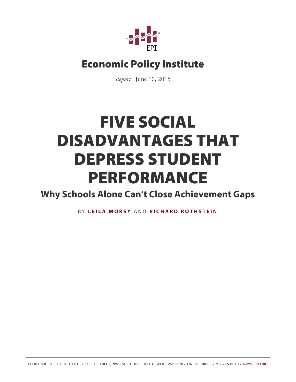

# Economic Policy Institute

*Report* | June 10, 2015

# FIVE SOCIAL DISADVANTAGES THAT DEPRESS STUDENT PERFORMANCE

**Why Schools Alone Can't Close Achievement Gaps**

B Y **[LEILA MORSY](http://www.epi.org/people/leila-morsy/)** AND **[RICHARD ROTHSTEIN](http://www.epi.org/people/richard-rothstein/)**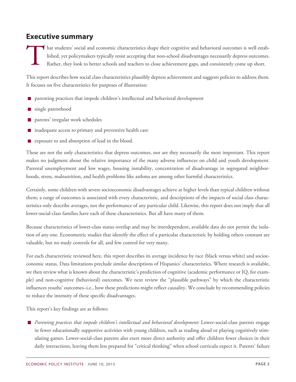# **Executive summary**

T hat students' social and economic characteristics shape their cognitive and behavioral outcomes is well established, yet policymakers typically resist accepting that non-school disadvantages necessarily depress outcomes. Rather, they look to better schools and teachers to close achievement gaps, and consistently come up short.

This report describes how social class characteristics plausibly depress achievement and suggests policies to address them. It focuses on five characteristics for purposes of illustration:

- **n** parenting practices that impede children's intellectual and behavioral development
- single parenthood
- parents' irregular work schedules
- inadequate access to primary and preventive health care  $\blacksquare$
- exposure to and absorption of lead in the blood.

These are not the only characteristics that depress outcomes, nor are they necessarily the most important. This report makes no judgment about the relative importance of the many adverse influences on child and youth development. Parental unemployment and low wages, housing instability, concentration of disadvantage in segregated neighborhoods, stress, malnutrition, and health problems like asthma are among other harmful characteristics.

Certainly, some children with severe socioeconomic disadvantages achieve at higher levels than typical children without them; a range of outcomes is associated with every characteristic, and descriptions of the impacts of social class characteristics only describe averages, not the performance of any particular child. Likewise, this report does not imply that all lower-social-class families have each of these characteristics. But all have many of them.

Because characteristics of lower-class status overlap and may be interdependent, available data do not permit the isolation of any one. Econometric studies that identify the effect of a particular characteristic by holding others constant are valuable, but no study controls for all, and few control for very many.

For each characteristic reviewed here, this report describes its average incidence by race (black versus white) and socioeconomic status. Data limitations preclude similar descriptions of Hispanics' characteristics. Where research is available, we then review what is known about the characteristic's prediction of cognitive (academic performance or IQ, for example) and non-cognitive (behavioral) outcomes. We next review the "plausible pathways" by which the characteristic influences youths' outcomes–i.e., how these predictions might reflect causality. We conclude by recommending policies to reduce the intensity of these specific disadvantages.

This report's key findings are as follows:

*Parenting practices that impede children's intellectual and behavioral development:* Lower-social-class parents engage in fewer educationally supportive activities with young children, such as reading aloud or playing cognitively stimulating games. Lower-social-class parents also exert more direct authority and offer children fewer choices in their daily interactions, leaving them less prepared for "critical thinking" when school curricula expect it. Parents' failure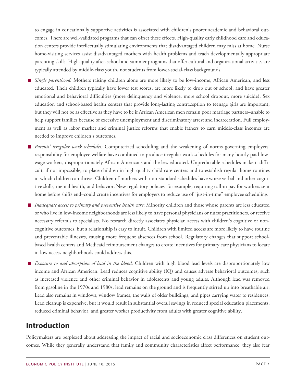to engage in educationally supportive activities is associated with children's poorer academic and behavioral outcomes. There are well-validated programs that can offset these effects. High-quality early childhood care and education centers provide intellectually stimulating environments that disadvantaged children may miss at home. Nurse home-visiting services assist disadvantaged mothers with health problems and teach developmentally appropriate parenting skills. High-quality after-school and summer programs that offer cultural and organizational activities are typically attended by middle-class youth, not students from lower-social-class backgrounds.

- *Single parenthood:* Mothers raising children alone are more likely to be low-income, African American, and less educated. Their children typically have lower test scores, are more likely to drop out of school, and have greater emotional and behavioral difficulties (more delinquency and violence, more school dropout, more suicide). Sex education and school-based health centers that provide long-lasting contraception to teenage girls are important, but they will not be as effective as they have to be if African American men remain poor marriage partners–unable to help support families because of excessive unemployment and discriminatory arrest and incarceration. Full employment as well as labor market and criminal justice reforms that enable fathers to earn middle-class incomes are needed to improve children's outcomes.
- *Parents' irregular work schedules:* Computerized scheduling and the weakening of norms governing employers' responsibility for employee welfare have combined to produce irregular work schedules for many hourly paid lowwage workers, disproportionately African Americans and the less educated. Unpredictable schedules make it difficult, if not impossible, to place children in high-quality child care centers and to establish regular home routines in which children can thrive. Children of mothers with non-standard schedules have worse verbal and other cognitive skills, mental health, and behavior. New regulatory policies–for example, requiring call-in pay for workers sent home before shifts end–could create incentives for employers to reduce use of "just-in-time" employee scheduling.
- *Inadequate access to primary and preventive health care*: Minority children and those whose parents are less educated or who live in low-income neighborhoods are less likely to have personal physicians or nurse practitioners, or receive necessary referrals to specialists. No research directly associates physician access with children's cognitive or noncognitive outcomes, but a relationship is easy to intuit. Children with limited access are more likely to have routine and preventable illnesses, causing more frequent absences from school. Regulatory changes that support schoolbased health centers and Medicaid reimbursement changes to create incentives for primary care physicians to locate in low-access neighborhoods could address this.
- *Exposure to and absorption of lead in the blood*: Children with high blood lead levels are disproportionately low income and African American. Lead reduces cognitive ability (IQ) and causes adverse behavioral outcomes, such as increased violence and other criminal behavior in adolescents and young adults. Although lead was removed from gasoline in the 1970s and 1980s, lead remains on the ground and is frequently stirred up into breathable air. Lead also remains in windows, window frames, the walls of older buildings, and pipes carrying water to residences. Lead cleanup is expensive, but it would result in substantial overall savings in reduced special education placements, reduced criminal behavior, and greater worker productivity from adults with greater cognitive ability.

# **Introduction**

Policymakers are perplexed about addressing the impact of racial and socioeconomic class differences on student outcomes. While they generally understand that family and community characteristics affect performance, they also fear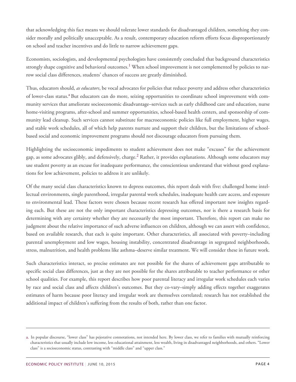that acknowledging this fact means we should tolerate lower standards for disadvantaged children, something they consider morally and politically unacceptable. As a result, contemporary education reform efforts focus disproportionately on school and teacher incentives and do little to narrow achievement gaps.

<span id="page-3-2"></span>Economists, sociologists, and developmental psychologists have consistently concluded that background characteristics strongly shape cognitive and behavioral outcomes.<sup>[1](#page-25-0)</sup> When school improvement is not complemented by policies to narrow social class differences, students' chances of success are greatly diminished.

<span id="page-3-1"></span>Thus, educators should, *as educators*, be vocal advocates for policies that reduce poverty and address other characteristics of lower-cl[a](#page-3-0)ss status.<sup>a</sup> But educators can do more, seizing opportunities to coordinate school improvement with community services that ameliorate socioeconomic disadvantage–services such as early childhood care and education, nurse home-visiting programs, after-school and summer opportunities, school-based health centers, and sponsorship of community lead cleanup. Such services cannot substitute for macroeconomic policies like full employment, higher wages, and stable work schedules, all of which help parents nurture and support their children, but the limitations of schoolbased social and economic improvement programs should not discourage educators from pursuing them.

<span id="page-3-3"></span>Highlighting the socioeconomic impediments to student achievement does not make "excuses" for the achievement gap, as some advocates glibly, and defensively, charge.<sup>[2](#page-26-0)</sup> Rather, it provides explanations. Although some educators may use student poverty as an excuse for inadequate performance, the conscientious understand that without good explanations for low achievement, policies to address it are unlikely.

Of the many social class characteristics known to depress outcomes, this report deals with five: challenged home intellectual environments, single parenthood, irregular parental work schedules, inadequate health care access, and exposure to environmental lead. These factors were chosen because recent research has offered important new insights regarding each. But these are not the only important characteristics depressing outcomes, nor is there a research basis for determining with any certainty whether they are necessarily the most important. Therefore, this report can make no judgment about the relative importance of such adverse influences on children, although we can assert with confidence, based on available research, that each is quite important. Other characteristics, all associated with poverty–including parental unemployment and low wages, housing instability, concentrated disadvantage in segregated neighborhoods, stress, malnutrition, and health problems like asthma–deserve similar treatment. We will consider these in future work.

Such characteristics interact, so precise estimates are not possible for the shares of achievement gaps attributable to specific social class differences, just as they are not possible for the shares attributable to teacher performance or other school qualities. For example, this report describes how poor parental literacy and irregular work schedules each varies by race and social class and affects children's outcomes. But they co-vary–simply adding effects together exaggerates estimates of harm because poor literacy and irregular work are themselves correlated; research has not established the additional impact of children's suffering from the results of both, rather than one factor.

<span id="page-3-0"></span>[a.](#page-3-1) In popular discourse, "lower class" has pejorative connotations, not intended here. By lower class, we refer to families with mutually reinforcing characteristics that usually include low income, less educational attainment, less wealth, living in disadvantaged neighborhoods, and others. "Lower class" is a socioeconomic status, contrasting with "middle class" and "upper class."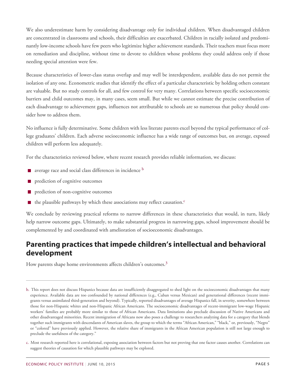We also underestimate harm by considering disadvantage only for individual children. When disadvantaged children are concentrated in classrooms and schools, their difficulties are exacerbated. Children in racially isolated and predominantly low-income schools have few peers who legitimize higher achievement standards. Their teachers must focus more on remediation and discipline, without time to devote to children whose problems they could address only if those needing special attention were few.

Because characteristics of lower-class status overlap and may well be interdependent, available data do not permit the isolation of any one. Econometric studies that identify the effect of a particular characteristic by holding others constant are valuable. But no study controls for all, and few control for very many. Correlations between specific socioeconomic barriers and child outcomes may, in many cases, seem small. But while we cannot estimate the precise contribution of each disadvantage to achievement gaps, influences not attributable to schools are so numerous that policy should consider how to address them.

No influence is fully determinative. Some children with less literate parents excel beyond the typical performance of college graduates' children. Each adverse socioeconomic influence has a wide range of outcomes but, on average, exposed children will perform less adequately.

For the characteristics reviewed below, where recent research provides reliable information, we discuss:

- <span id="page-4-2"></span> $\blacksquare$  $\blacksquare$  $\blacksquare$  average race and social class differences in incidence  $\blacksquare$
- **P** prediction of cognitive outcomes
- prediction of non-cognitive outcomes
- <span id="page-4-3"></span> $\blacksquare$  $\blacksquare$  $\blacksquare$  the plausible pathways by which these associations may reflect causation.<sup>c</sup>

We conclude by reviewing practical reforms to narrow differences in these characteristics that would, in turn, likely help narrow outcome gaps. Ultimately, to make substantial progress in narrowing gaps, school improvement should be complemented by and coordinated with amelioration of socioeconomic disadvantages.

# **Parenting practices that impede children's intellectual and behavioral development**

<span id="page-4-4"></span>How parents shape home environments affects children's outcomes.<sup>[3](#page-26-1)</sup>

<span id="page-4-0"></span>[b.](#page-4-2) This report does not discuss Hispanics because data are insufficiently disaggregated to shed light on the socioeconomic disadvantages that many experience. Available data are too confounded by national differences (e.g., Cuban versus Mexican) and generational differences (recent immigrants versus assimilated third-generation and beyond). Typically, reported disadvantages of average Hispanics fall, in severity, somewhere between those for non-Hispanic whites and non-Hispanic African Americans. The socioeconomic disadvantages of recent-immigrant low-wage Hispanic workers' families are probably more similar to those of African Americans. Data limitations also preclude discussion of Native Americans and other disadvantaged minorities. Recent immigration of Africans now also poses a challenge to researchers analyzing data for a category that blends together such immigrants with descendants of American slaves, the group to which the terms "African American," "black," or, previously, "Negro" or "colored" have previously applied. However, the relative share of immigrants in the African American population is still not large enough to preclude the usefulness of the category."

<span id="page-4-1"></span>[c.](#page-4-3) Most research reported here is correlational, exposing association between factors but not proving that one factor causes another. Correlations can suggest theories of causation for which plausible pathways may be explored.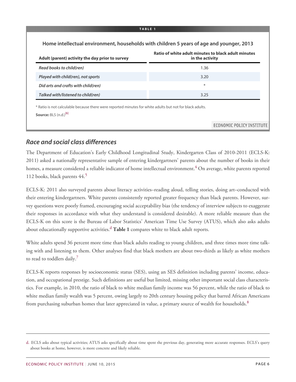| Adult (parent) activity the day prior to survey | Ratio of white adult minutes to black adult minutes<br>in the activity |
|-------------------------------------------------|------------------------------------------------------------------------|
| Read books to child(ren)                        | 1.36                                                                   |
| Played with child(ren), not sports              | 3.20                                                                   |
| Did arts and crafts with child(ren)             | $\ast$                                                                 |
| Talked with/listened to child(ren)              | 3.25                                                                   |

# *Race and social class differences*

<span id="page-5-2"></span>The Department of Education's Early Childhood Longitudinal Study, Kindergarten Class of 2010-2011 (ECLS-K: 2011) asked a nationally representative sample of entering kindergartners' parents about the number of books in their homes, a measure considered a reliable indicator of home intellectual environment.<sup>[4](#page-26-2)</sup> On average, white parents reported 112 books, black parents 44.[5](#page-26-3)

<span id="page-5-3"></span>ECLS-K: 2011 also surveyed parents about literacy activities–reading aloud, telling stories, doing art–conducted with their entering kindergartners. White parents consistently reported greater frequency than black parents. However, survey questions were poorly framed, encouraging social acceptability bias (the tendency of interview subjects to exaggerate their responses in accordance with what they understand is considered desirable). A more reliable measure than the ECLS-K on this score is the Bureau of Labor Statistics' American Time Use Survey (ATUS), which also asks adults about e[d](#page-5-0)ucationally supportive activities.<sup>d</sup> Table 1 compares white to black adult reports.

<span id="page-5-1"></span>White adults spend 36 percent more time than black adults reading to young children, and three times more time talking with and listening to them. Other analyses find that black mothers are about two-thirds as likely as white mothers to read to toddlers daily.<sup>[7](#page-26-4)</sup>

<span id="page-5-5"></span><span id="page-5-4"></span>ECLS-K reports responses by socioeconomic status (SES), using an SES definition including parents' income, education, and occupational prestige. Such definitions are useful but limited, missing other important social class characteristics. For example, in 2010, the ratio of black to white median family income was 56 percent, while the ratio of black to white median family wealth was 5 percent, owing largely to 20th century housing policy that barred African Americans from purchasing suburban homes that later appreciated in value, a primary source of wealth for households.<sup>[8](#page-26-5)</sup>

<span id="page-5-0"></span>[d.](#page-5-1) ECLS asks about typical activities; ATUS asks specifically about time spent the previous day, generating more accurate responses. ECLS's query about books at home, however, is more concrete and likely reliable.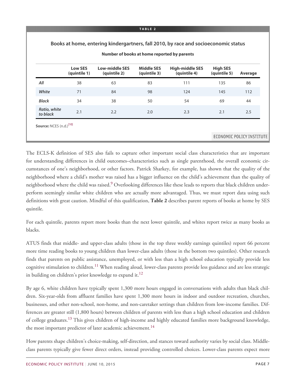|                          |                                | Number of books at home reported by parents |                                   |                                        |                                 |         |
|--------------------------|--------------------------------|---------------------------------------------|-----------------------------------|----------------------------------------|---------------------------------|---------|
|                          | <b>Low SES</b><br>(quintile 1) | <b>Low-middle SES</b><br>(quintile 2)       | <b>Middle SES</b><br>(quintile 3) | <b>High-middle SES</b><br>(quintile 4) | <b>High SES</b><br>(quintile 5) | Average |
| All                      | 38                             | 63                                          | 83                                | 111                                    | 135                             | 86      |
| White                    | 71                             | 84                                          | 98                                | 124                                    | 145                             | 112     |
| <b>Black</b>             | 34                             | 38                                          | 50                                | 54                                     | 69                              | 44      |
| Ratio, white<br>to black | 2.1                            | 2.2                                         | 2.0                               | 2.3                                    | 2.1                             | 2.5     |

<span id="page-6-0"></span>The ECLS-K definition of SES also fails to capture other important social class characteristics that are important for understanding differences in child outcomes–characteristics such as single parenthood, the overall economic circumstances of one's neighborhood, or other factors. Patrick Sharkey, for example, has shown that the quality of the neighborhood where a child's mother was raised has a bigger influence on the child's achievement than the quality of neighborhood where the child was raised.<sup>[9](#page-26-6)</sup> Overlooking differences like these leads to reports that black children underperform seemingly similar white children who are actually more advantaged. Thus, we must report data using such definitions with great caution. Mindful of this qualification, **Table 2** describes parent reports of books at home by SES quintile.

For each quintile, parents report more books than the next lower quintile, and whites report twice as many books as blacks.

<span id="page-6-1"></span>ATUS finds that middle- and upper-class adults (those in the top three weekly earnings quintiles) report 66 percent more time reading books to young children than lower-class adults (those in the bottom two quintiles). Other research finds that parents on public assistance, unemployed, or with less than a high school education typically provide less cognitive stimulation to children.<sup>[11](#page-26-7)</sup> When reading aloud, lower-class parents provide less guidance and are less strategic in building on children's prior knowledge to expand it.<sup>[12](#page-26-8)</sup>

<span id="page-6-2"></span>By age 6, white children have typically spent 1,300 more hours engaged in conversations with adults than black children. Six-year-olds from affluent families have spent 1,300 more hours in indoor and outdoor recreation, churches, businesses, and other non-school, non-home, and non-caretaker settings than children from low-income families. Differences are greater still (1,800 hours) between children of parents with less than a high school education and children of college graduates.<sup>[13](#page-26-9)</sup> This gives children of high-income and highly educated families more background knowledge, the most important predictor of later academic achievement.<sup>[14](#page-26-10)</sup>

<span id="page-6-4"></span><span id="page-6-3"></span>How parents shape children's choice-making, self-direction, and stances toward authority varies by social class. Middleclass parents typically give fewer direct orders, instead providing controlled choices. Lower-class parents expect more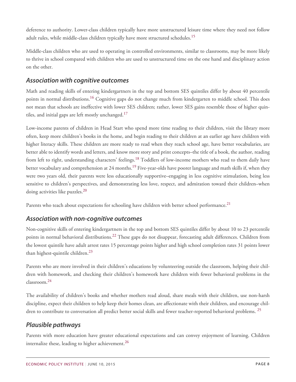<span id="page-7-0"></span>deference to authority. Lower-class children typically have more unstructured leisure time where they need not follow adult rules, while middle-class children typically have more structured schedules.<sup>[15](#page-26-11)</sup>

Middle-class children who are used to operating in controlled environments, similar to classrooms, may be more likely to thrive in school compared with children who are used to unstructured time on the one hand and disciplinary action on the other.

### *Association with cognitive outcomes*

<span id="page-7-1"></span>Math and reading skills of entering kindergartners in the top and bottom SES quintiles differ by about 40 percentile points in normal distributions.<sup>[16](#page-27-0)</sup> Cognitive gaps do not change much from kindergarten to middle school. This does not mean that schools are ineffective with lower SES children; rather, lower SES gains resemble those of higher quin-tiles, and initial gaps are left mostly unchanged.<sup>[17](#page-27-1)</sup>

<span id="page-7-3"></span><span id="page-7-2"></span>Low-income parents of children in Head Start who spend more time reading to their children, visit the library more often, keep more children's books in the home, and begin reading to their children at an earlier age have children with higher literacy skills. These children are more ready to read when they reach school age, have better vocabularies, are better able to identify words and letters, and know more story and print concepts–the title of a book, the author, reading from left to right, understanding characters' feelings.<sup>[18](#page-27-2)</sup> Toddlers of low-income mothers who read to them daily have better vocabulary and comprehension at 24 months.<sup>[19](#page-27-3)</sup> Five-year-olds have poorer language and math skills if, when they were two years old, their parents were less educationally supportive–engaging in less cognitive stimulation, being less sensitive to children's perspectives, and demonstrating less love, respect, and admiration toward their children–when doing activities like puzzles.<sup>[20](#page-27-4)</sup>

<span id="page-7-6"></span><span id="page-7-5"></span><span id="page-7-4"></span>Parents who teach about expectations for schooling have children with better school performance.<sup>[21](#page-27-5)</sup>

### *Association with non-cognitive outcomes*

<span id="page-7-7"></span>Non-cognitive skills of entering kindergartners in the top and bottom SES quintiles differ by about 10 to 23 percentile points in normal behavioral distributions.<sup>[22](#page-27-6)</sup> These gaps do not disappear, forecasting adult differences. Children from the lowest quintile have adult arrest rates 15 percentage points higher and high school completion rates 31 points lower than highest-quintile children.<sup>[23](#page-27-7)</sup>

<span id="page-7-9"></span><span id="page-7-8"></span>Parents who are more involved in their children's educations by volunteering outside the classroom, helping their children with homework, and checking their children's homework have children with fewer behavioral problems in the classroom.[24](#page-27-8)

The availability of children's books and whether mothers read aloud, share meals with their children, use non-harsh discipline, expect their children to help keep their homes clean, are affectionate with their children, and encourage chil-dren to contribute to conversation all predict better social skills and fewer teacher-reported behavioral problems. <sup>[25](#page-27-9)</sup>

# <span id="page-7-10"></span>*Plausible pathways*

<span id="page-7-11"></span>Parents with more education have greater educational expectations and can convey enjoyment of learning. Children internalize these, leading to higher achievement.<sup>[26](#page-27-10)</sup>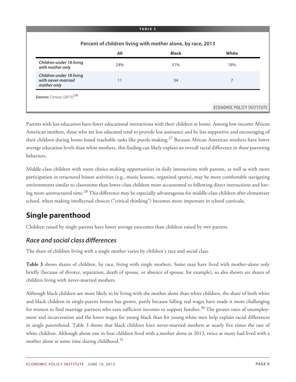|                                                               | All | <b>Black</b> | White |
|---------------------------------------------------------------|-----|--------------|-------|
| Children under 18 living<br>with mother only                  | 24% | 51%          | 18%   |
| Children under 18 living<br>with never-married<br>mother only | 11  | 34           | 7     |

<span id="page-8-0"></span>Parents with less education have fewer educational interactions with their children at home. Among low-income African American mothers, those who are less educated tend to provide less assistance and be less supportive and encouraging of their children during home-based teachable tasks like puzzle-making.<sup>[27](#page-27-11)</sup> Because African American mothers have lower average education levels than white mothers, this finding can likely explain an overall racial difference in these parenting behaviors.

Middle-class children with more choice-making opportunities in daily interactions with parents, as well as with more participation in structured leisure activities (e.g., music lessons, organized sports), may be more comfortable navigating environments similar to classrooms than lower-class children more accustomed to following direct instructions and hav-ing more unstructured time.<sup>[28](#page-27-12)</sup> This difference may be especially advantageous for middle-class children after elementary school, when making intellectual choices ("critical thinking") becomes more important in school curricula.

# <span id="page-8-1"></span>**Single parenthood**

Children raised by single parents have lower average outcomes than children raised by two parents.

# *Race and social class differences*

The share of children living with a single mother varies by children's race and social class.

**Table 3** shows shares of children, by race, living with single mothers. Some may have lived with mother-alone only briefly (because of divorce, separation, death of spouse, or absence of spouse, for example), so also shown are shares of children living with never-married mothers.

<span id="page-8-3"></span><span id="page-8-2"></span>Although black children are more likely to be living with the mother alone than white children, the share of both white and black children in single-parent homes has grown, partly because falling real wages have made it more challenging for women to find marriage partners who earn sufficient incomes to support families.<sup>[30](#page-27-13)</sup> The greater rates of unemployment and incarceration and the lower wages for young black than for young white men help explain racial differences in single parenthood. Table 3 shows that black children have never-married mothers at nearly five times the rate of white children. Although about one in four children lived with a mother alone in 2013, twice as many had lived with a mother alone at some time during childhood.<sup>[31](#page-28-0)</sup>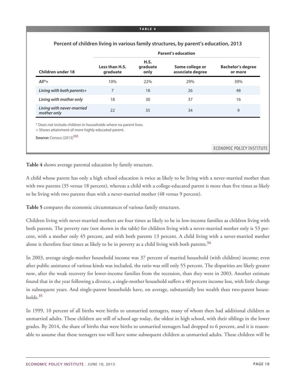|                                                                  | <b>Parent's education</b>  |                          |                                     |                                     |  |
|------------------------------------------------------------------|----------------------------|--------------------------|-------------------------------------|-------------------------------------|--|
| <b>Children under 18</b>                                         | Less than H.S.<br>graduate | H.S.<br>graduate<br>only | Some college or<br>associate degree | <b>Bachelor's degree</b><br>or more |  |
| $All^*+$                                                         | 10%                        | 22%                      | 29%                                 | 39%                                 |  |
| Living with both parents+                                        | 7                          | 18                       | 26                                  | 48                                  |  |
| Living with mother only                                          | 18                         | 30                       | 37                                  | 16                                  |  |
| Living with never-married<br>mother only                         | 22                         | 35                       | 34                                  | 9                                   |  |
| * Does not include children in households where no parent lives. |                            |                          |                                     |                                     |  |
| + Shows attainment of more highly educated parent.               |                            |                          |                                     |                                     |  |

**Table 4** shows average parental education by family structure.

A child whose parent has only a high school education is twice as likely to be living with a never-married mother than with two parents (35 versus 18 percent), whereas a child with a college-educated parent is more than five times as likely to be living with two parents than with a never-married mother (48 versus 9 percent).

**Table 5** compares the economic circumstances of various family structures.

Children living with never-married mothers are four times as likely to be in low-income families as children living with both parents. The poverty rate (not shown in the table) for children living with a never-married mother only is 53 percent, with a mother only 45 percent, and with both parents 13 percent. A child living with a never-married mother alone is therefore four times as likely to be in poverty as a child living with both parents.<sup>[34](#page-28-1)</sup>

<span id="page-9-0"></span>In 2003, average single-mother household income was 37 percent of married household (with children) income; even after public assistance of various kinds was included, the ratio was still only 55 percent. The disparities are likely greater now, after the weak recovery for lower-income families from the recession, than they were in 2003. Another estimate found that in the year following a divorce, a single-mother household suffers a 40 percent income loss, with little change in subsequent years. And single-parent households have, on average, substantially less wealth than two-parent households.[35](#page-28-2)

<span id="page-9-1"></span>In 1999, 10 percent of all births were births to unmarried teenagers, many of whom then had additional children as unmarried adults. These children are still of school age today, the oldest in high school, with their siblings in the lower grades. By 2014, the share of births that were births to unmarried teenagers had dropped to 6 percent, and it is reasonable to assume that these teenagers too will have some subsequent children as unmarried adults. These children will be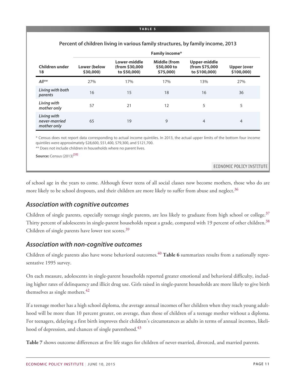|                                             | <b>Family income*</b>     |                                                |                                                 |                                                 |                           |
|---------------------------------------------|---------------------------|------------------------------------------------|-------------------------------------------------|-------------------------------------------------|---------------------------|
| Children under<br>18                        | Lower (below<br>\$30,000) | Lower-middle<br>(from \$30,000<br>to \$50,000) | <b>Middle (from</b><br>\$50,000 to<br>\$75,000) | Upper-middle<br>(from \$75,000<br>to \$100,000) | Upper (over<br>\$100,000) |
| $All**$                                     | 27%                       | 17%                                            | 17%                                             | 13%                                             | 27%                       |
| Living with both<br>parents                 | 16                        | 15                                             | 18                                              | 16                                              | 36                        |
| Living with<br>mother only                  | 57                        | 21                                             | 12                                              | 5                                               | 5                         |
| Living with<br>never-married<br>mother only | 65                        | 19                                             | 9                                               | $\overline{4}$                                  | $\overline{4}$            |

#### **Percent of children living in various family structures, by family income, 2013**

\* Census does not report data corresponding to actual income quintiles. In 2013, the actual upper limits of the bottom four income quintiles were approximately \$28,600, \$51,400, \$79,300, and \$121,700.

\*\* Does not include children in households where no parent lives.

**Source:** Census (2013)<sup>[33]</sup>

ECONOMIC POLICY INSTITUTE

<span id="page-10-0"></span>of school age in the years to come. Although fewer teens of all social classes now become mothers, those who do are more likely to be school dropouts, and their children are more likely to suffer from abuse and neglect.<sup>[36](#page-28-3)</sup>

### *Association with cognitive outcomes*

<span id="page-10-3"></span><span id="page-10-2"></span><span id="page-10-1"></span>Children of single parents, especially teenage single parents, are less likely to graduate from high school or college. $3/$ Thirty percent of adolescents in single-parent households repeat a grade, compared with 19 percent of other children.<sup>[38](#page-28-5)</sup> Children of single parents have lower test scores.<sup>[39](#page-28-6)</sup>

### *Association with non-cognitive outcomes*

<span id="page-10-4"></span>Children of single parents also have worse behavioral outcomes.[40](#page-28-7) **Table 6** summarizes results from a nationally representative 1995 survey.

<span id="page-10-5"></span>On each measure, adolescents in single-parent households reported greater emotional and behavioral difficulty, including higher rates of delinquency and illicit drug use. Girls raised in single-parent households are more likely to give birth themselves as single mothers.<sup>[42](#page-28-8)</sup>

If a teenage mother has a high school diploma, the average annual incomes of her children when they reach young adulthood will be more than 10 percent greater, on average, than those of children of a teenage mother without a diploma. For teenagers, delaying a first birth improves their children's circumstances as adults in terms of annual incomes, likeli-hood of depression, and chances of single parenthood.<sup>[43](#page-28-9)</sup>

<span id="page-10-6"></span>**Table 7** shows outcome differences at five life stages for children of never-married, divorced, and married parents.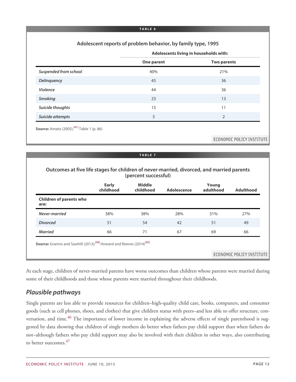#### **Adolescent reports of problem behavior, by family type, 1995**

| Adolescents living in households with: |  |  |
|----------------------------------------|--|--|
|                                        |  |  |

|                       | One parent | <b>Two parents</b> |
|-----------------------|------------|--------------------|
| Suspended from school | 40%        | 21%                |
| Delinquency           | 45         | 36                 |
| Violence              | 44         | 36                 |
| <b>Smoking</b>        | 23         | 13                 |
| Suicide thoughts      | 15         | 11                 |
| Suicide attempts      | 3          | 2                  |

#### **TABLE 7**

#### **Outcomes at five life stages for children of never-married, divorced, and married parents (percent successful)**

|                                        | <b>Early</b><br>childhood | <b>Middle</b><br>childhood | Adolescence | Young<br>adulthood | <b>Adulthood</b> |
|----------------------------------------|---------------------------|----------------------------|-------------|--------------------|------------------|
| <b>Children of parents who</b><br>are: |                           |                            |             |                    |                  |
| Never-married                          | 38%                       | 38%                        | 28%         | 31%                | 27%              |
| <b>Divorced</b>                        | 51                        | 54                         | 42          | 51                 | 49               |
| <b>Married</b>                         | 66                        | 71                         | 67          | 69                 | 66               |

At each stage, children of never-married parents have worse outcomes than children whose parents were married during some of their childhoods and those whose parents were married throughout their childhoods.

### *Plausible pathways*

<span id="page-11-1"></span><span id="page-11-0"></span>Single parents are less able to provide resources for children–high-quality child care, books, computers, and consumer goods (such as cell phones, shoes, and clothes) that give children status with peers–and less able to offer structure, con-versation, and time.<sup>[46](#page-29-0)</sup> The importance of lower income in explaining the adverse effects of single parenthood is suggested by data showing that children of single mothers do better when fathers pay child support than when fathers do not–although fathers who pay child support may also be involved with their children in other ways, also contributing to better outcomes.<sup>[47](#page-29-1)</sup>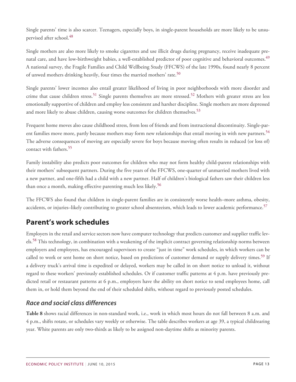<span id="page-12-0"></span>Single parents' time is also scarcer. Teenagers, especially boys, in single-parent households are more likely to be unsu-pervised after school.<sup>[48](#page-29-2)</sup>

<span id="page-12-1"></span>Single mothers are also more likely to smoke cigarettes and use illicit drugs during pregnancy, receive inadequate pre-natal care, and have low-birthweight babies, a well-established predictor of poor cognitive and behavioral outcomes.<sup>[49](#page-29-3)</sup> A national survey, the Fragile Families and Child Wellbeing Study (FFCWS) of the late 1990s, found nearly 8 percent of unwed mothers drinking heavily, four times the married mothers' rate.<sup>[50](#page-29-4)</sup>

<span id="page-12-3"></span><span id="page-12-2"></span>Single parents' lower incomes also entail greater likelihood of living in poor neighborhoods with more disorder and crime that cause children stress.<sup>[51](#page-29-5)</sup> Single parents themselves are more stressed.<sup>[52](#page-29-6)</sup> Mothers with greater stress are less emotionally supportive of children and employ less consistent and harsher discipline. Single mothers are more depressed and more likely to abuse children, causing worse outcomes for children themselves.<sup>[53](#page-29-7)</sup>

<span id="page-12-5"></span><span id="page-12-4"></span>Frequent home moves also cause childhood stress, from loss of friends and from instructional discontinuity. Single-par-ent families move more, partly because mothers may form new relationships that entail moving in with new partners.<sup>[54](#page-29-8)</sup> The adverse consequences of moving are especially severe for boys because moving often results in reduced (or loss of) contact with fathers.<sup>[55](#page-29-9)</sup>

<span id="page-12-6"></span>Family instability also predicts poor outcomes for children who may not form healthy child-parent relationships with their mothers' subsequent partners. During the five years of the FFCWS, one-quarter of unmarried mothers lived with a new partner, and one-fifth had a child with a new partner. Half of children's biological fathers saw their children less than once a month, making effective parenting much less likely.<sup>[56](#page-29-10)</sup>

<span id="page-12-8"></span><span id="page-12-7"></span>The FFCWS also found that children in single-parent families are in consistently worse health–more asthma, obesity, accidents, or injuries–likely contributing to greater school absenteeism, which leads to lower academic performance.<sup>[57](#page-29-11)</sup>

# **Parent's work schedules**

<span id="page-12-10"></span><span id="page-12-9"></span>Employers in the retail and service sectors now have computer technology that predicts customer and supplier traffic lev-els.<sup>[58](#page-29-12)</sup> This technology, in combination with a weakening of the implicit contract governing relationship norms between employers and employees, has encouraged supervisors to create "just in time" work schedules, in which workers can be called to work or sent home on short notice, based on predictions of customer demand or supply delivery times.<sup>[59](#page-30-0)</sup> If a delivery truck's arrival time is expedited or delayed, workers may be called in on short notice to unload it, without regard to these workers' previously established schedules. Or if customer traffic patterns at 4 p.m. have previously predicted retail or restaurant patterns at 6 p.m., employers have the ability on short notice to send employees home, call them in, or hold them beyond the end of their scheduled shifts, without regard to previously posted schedules.

# *Race and social class differences*

**Table 8** shows racial differences in non-standard work, i.e., work in which most hours do not fall between 8 a.m. and 4 p.m., shifts rotate, or schedules vary weekly or otherwise. The table describes workers at age 39, a typical childrearing year. White parents are only two-thirds as likely to be assigned non-daytime shifts as minority parents.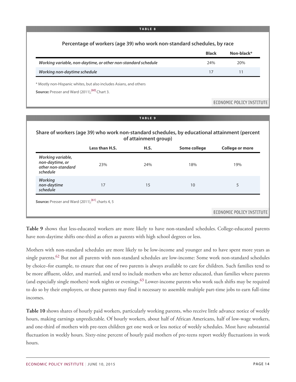|                                                                    | <b>Black</b> | Non-black* |
|--------------------------------------------------------------------|--------------|------------|
| Working variable, non-daytime, or other non-standard schedule      | 24%          | 20%        |
| Working non-daytime schedule                                       | 17           | 11         |
| * Mostly non-Hispanic whites, but also includes Asians, and others |              |            |
| <b>Source:</b> Presser and Ward (2011), <sup>[60]</sup> Chart 3.   |              |            |

#### **TABLE 9**

#### **Share of workers (age 39) who work non-standard schedules, by educational attainment (percent of attainment group)**

|                                                                        | Less than H.S. | H.S. | Some college | <b>College or more</b> |
|------------------------------------------------------------------------|----------------|------|--------------|------------------------|
| Working variable,<br>non-daytime, or<br>other non-standard<br>schedule | 23%            | 24%  | 18%          | 19%                    |
| <b>Working</b><br>non-daytime<br>schedule                              | 17             | 15   | 10           | 5                      |

ECONOMIC POLICY INSTITUTE

**Table 9** shows that less-educated workers are more likely to have non-standard schedules. College-educated parents have non-daytime shifts one-third as often as parents with high school degrees or less.

<span id="page-13-1"></span><span id="page-13-0"></span>Mothers with non-standard schedules are more likely to be low-income and younger and to have spent more years as single parents.<sup>[62](#page-30-1)</sup> But not all parents with non-standard schedules are low-income: Some work non-standard schedules by choice–for example, to ensure that one of two parents is always available to care for children. Such families tend to be more affluent, older, and married, and tend to include mothers who are better educated, than families where parents (and especially single mothers) work nights or evenings. $63$  Lower-income parents who work such shifts may be required to do so by their employers, or these parents may find it necessary to assemble multiple part-time jobs to earn full-time incomes.

**Table 10** shows shares of hourly paid workers, particularly working parents, who receive little advance notice of weekly hours, making earnings unpredictable. Of hourly workers, about half of African Americans, half of low-wage workers, and one-third of mothers with pre-teen children get one week or less notice of weekly schedules. Most have substantial fluctuation in weekly hours. Sixty-nine percent of hourly paid mothers of pre-teens report weekly fluctuations in work hours.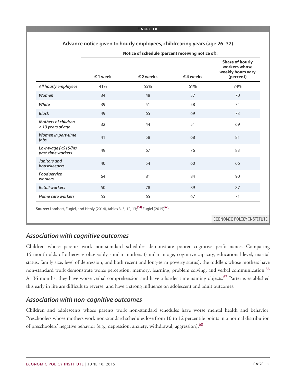#### **Advance notice given to hourly employees, childrearing years (age 26–32)**

|                                                 | $\leq$ 1 week | $\leq$ 2 weeks | $\leq$ 4 weeks | <b>Share of hourly</b><br>workers whose<br>weekly hours vary<br>(percent) |
|-------------------------------------------------|---------------|----------------|----------------|---------------------------------------------------------------------------|
| All hourly employees                            | 41%           | 55%            | 61%            | 74%                                                                       |
| Women                                           | 34            | 48             | 57             | 70                                                                        |
| White                                           | 39            | 51             | 58             | 74                                                                        |
| <b>Black</b>                                    | 49            | 65             | 69             | 73                                                                        |
| <b>Mothers of children</b><br>< 13 years of age | 32            | 44             | 51             | 69                                                                        |
| Women in part-time<br>jobs                      | 41            | 58             | 68             | 81                                                                        |
| Low-wage (<\$15/hr)<br>part-time workers        | 49            | 67             | 76             | 83                                                                        |
| Janitors and<br>housekeepers                    | 40            | 54             | 60             | 66                                                                        |
| <b>Food service</b><br>workers                  | 64            | 81             | 84             | 90                                                                        |
| <b>Retail workers</b>                           | 50            | 78             | 89             | 87                                                                        |
| Home care workers                               | 55            | 65             | 67             | 71                                                                        |

**Notice of schedule (percent receiving notice of):**

### *Association with cognitive outcomes*

<span id="page-14-0"></span>Children whose parents work non-standard schedules demonstrate poorer cognitive performance. Comparing 15-month-olds of otherwise observably similar mothers (similar in age, cognitive capacity, educational level, marital status, family size, level of depression, and both recent and long-term poverty status), the toddlers whose mothers have non-standard work demonstrate worse perception, memory, learning, problem solving, and verbal communication.<sup>[66](#page-30-3)</sup> At 36 months, they have worse verbal comprehension and have a harder time naming objects.<sup>[67](#page-30-4)</sup> Patterns established this early in life are difficult to reverse, and have a strong influence on adolescent and adult outcomes.

### <span id="page-14-1"></span>*Association with non-cognitive outcomes*

<span id="page-14-2"></span>Children and adolescents whose parents work non-standard schedules have worse mental health and behavior. Preschoolers whose mothers work non-standard schedules lose from 10 to 12 percentile points in a normal distribution of preschoolers' negative behavior (e.g., depression, anxiety, withdrawal, aggression).<sup>[68](#page-30-5)</sup>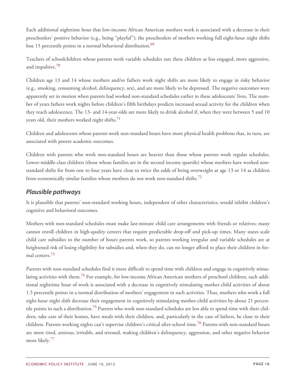Each additional nighttime hour that low-income African American mothers work is associated with a decrease in their preschoolers' positive behavior (e.g., being "playful"); the preschoolers of mothers working full eight-hour night shifts lose 15 percentile points in a normal behavioral distribution.<sup>[69](#page-30-6)</sup>

<span id="page-15-1"></span><span id="page-15-0"></span>Teachers of schoolchildren whose parents work variable schedules rate these children as less engaged, more aggressive, and impulsive.<sup>[70](#page-30-7)</sup>

Children age 13 and 14 whose mothers and/or fathers work night shifts are more likely to engage in risky behavior (e.g., smoking, consuming alcohol, delinquency, sex), and are more likely to be depressed. The negative outcomes were apparently set in motion when parents had worked non-standard schedules earlier in these adolescents' lives. The number of years fathers work nights before children's fifth birthdays predicts increased sexual activity for the children when they reach adolescence. The 13- and 14-year-olds are more likely to drink alcohol if, when they were between 5 and 10 years old, their mothers worked night shifts. $71$ 

<span id="page-15-2"></span>Children and adolescents whose parents work non-standard hours have more physical health problems that, in turn, are associated with poorer academic outcomes.

Children with parents who work non-standard hours are heavier than those whose parents work regular schedules. Lower-middle-class children (those whose families are in the second income quartile) whose mothers have worked nonstandard shifts for from one to four years have close to twice the odds of being overweight at age 13 or 14 as children from economically similar families whose mothers do not work non-standard shifts.<sup>[72](#page-30-9)</sup>

# <span id="page-15-3"></span>*Plausible pathways*

It is plausible that parents' non-standard working hours, independent of other characteristics, would inhibit children's cognitive and behavioral outcomes.

Mothers with non-standard schedules must make last-minute child care arrangements with friends or relatives; many cannot enroll children in high-quality centers that require predictable drop-off and pick-up times. Many states scale child care subsidies to the number of hours parents work, so parents working irregular and variable schedules are at heightened risk of losing eligibility for subsidies and, when they do, can no longer afford to place their children in formal centers.[73](#page-30-10)

<span id="page-15-8"></span><span id="page-15-7"></span><span id="page-15-6"></span><span id="page-15-5"></span><span id="page-15-4"></span>Parents with non-standard schedules find it more difficult to spend time with children and engage in cognitively stimu-lating activities with them.<sup>[74](#page-31-0)</sup> For example, for low-income African American mothers of preschool children, each additional nighttime hour of work is associated with a decrease in cognitively stimulating mother-child activities of about 1.5 percentile points in a normal distribution of mothers' engagement in such activities. Thus, mothers who work a full eight-hour night shift decrease their engagement in cognitively stimulating mother-child activities by about 21 percen-tile points in such a distribution.<sup>[75](#page-31-1)</sup> Parents who work non-standard schedules are less able to spend time with their children, take care of their homes, have meals with their children, and, particularly in the case of fathers, be close to their children. Parents working nights can't supervise children's critical after-school time.[76](#page-31-2) Parents with non-standard hours are more tired, anxious, irritable, and stressed, making children's delinquency, aggression, and other negative behavior more likely.<sup>[77](#page-31-3)</sup>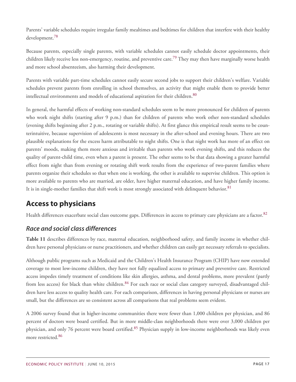Parents' variable schedules require irregular family mealtimes and bedtimes for children that interfere with their healthy development.<sup>78</sup>

<span id="page-16-0"></span>Because parents, especially single parents, with variable schedules cannot easily schedule doctor appointments, their children likely receive less non-emergency, routine, and preventive care.<sup>[79](#page-31-4)</sup> They may then have marginally worse health and more school absenteeism, also harming their development.

Parents with variable part-time schedules cannot easily secure second jobs to support their children's welfare. Variable schedules prevent parents from enrolling in school themselves, an activity that might enable them to provide better intellectual environments and models of educational aspiration for their children.<sup>[80](#page-31-5)</sup>

<span id="page-16-1"></span>In general, the harmful effects of working non-standard schedules seem to be more pronounced for children of parents who work night shifts (starting after 9 p.m.) than for children of parents who work other non-standard schedules (evening shifts beginning after 2 p.m., rotating or variable shifts). At first glance this empirical result seems to be counterintuitive, because supervision of adolescents is most necessary in the after-school and evening hours. There are two plausible explanations for the excess harm attributable to night shifts. One is that night work has more of an effect on parents' moods, making them more anxious and irritable than parents who work evening shifts, and this reduces the quality of parent-child time, even when a parent is present. The other seems to be that data showing a greater harmful effect from night than from evening or rotating shift work results from the experience of two-parent families where parents organize their schedules so that when one is working, the other is available to supervise children. This option is more available to parents who are married, are older, have higher maternal education, and have higher family income. It is in single-mother families that shift work is most strongly associated with delinquent behavior.<sup>[81](#page-31-6)</sup>

# <span id="page-16-2"></span>**Access to physicians**

<span id="page-16-3"></span>Health differences exacerbate social class outcome gaps. Differences in access to primary care physicians are a factor.<sup>[82](#page-31-7)</sup>

# *Race and social class differences*

**Table 11** describes differences by race, maternal education, neighborhood safety, and family income in whether children have personal physicians or nurse practitioners, and whether children can easily get necessary referrals to specialists.

<span id="page-16-4"></span>Although public programs such as Medicaid and the Children's Health Insurance Program (CHIP) have now extended coverage to most low-income children, they have not fully equalized access to primary and preventive care. Restricted access impedes timely treatment of conditions like skin allergies, asthma, and dental problems, more prevalent (partly from less access) for black than white children.<sup>[84](#page-31-8)</sup> For each race or social class category surveyed, disadvantaged children have less access to quality health care. For each comparison, differences in having personal physicians or nurses are small, but the differences are so consistent across all comparisons that real problems seem evident.

<span id="page-16-6"></span><span id="page-16-5"></span>A 2006 survey found that in higher-income communities there were fewer than 1,000 children per physician, and 86 percent of doctors were board certified. But in more middle-class neighborhoods there were over 3,000 children per physician, and only 76 percent were board certified.<sup>[85](#page-31-9)</sup> Physician supply in low-income neighborhoods was likely even more restricted.<sup>[86](#page-31-10)</sup>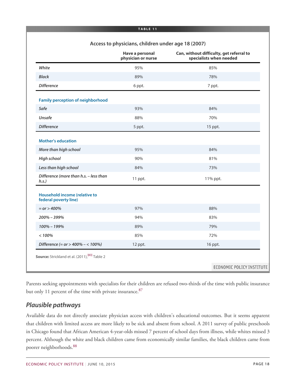|                                                        | Access to physicians, children under age 18 (2007) |                                                                     |
|--------------------------------------------------------|----------------------------------------------------|---------------------------------------------------------------------|
|                                                        | Have a personal<br>physician or nurse              | Can, without difficulty, get referral to<br>specialists when needed |
| White                                                  | 95%                                                | 85%                                                                 |
| <b>Black</b>                                           | 89%                                                | 78%                                                                 |
| <b>Difference</b>                                      | 6 ppt.                                             | 7 ppt.                                                              |
| <b>Family perception of neighborhood</b>               |                                                    |                                                                     |
| Safe                                                   | 93%                                                | 84%                                                                 |
| <b>Unsafe</b>                                          | 88%                                                | 70%                                                                 |
| <b>Difference</b>                                      | 5 ppt.                                             | 15 ppt.                                                             |
| <b>Mother's education</b>                              |                                                    |                                                                     |
| More than high school                                  | 95%                                                | 84%                                                                 |
| <b>High school</b>                                     | 90%                                                | 81%                                                                 |
| Less than high school                                  | 84%                                                | 73%                                                                 |
| Difference (more than h.s. - less than<br>h.s.         | 11 ppt.                                            | 11% ppt.                                                            |
| Household income (relative to<br>federal poverty line) |                                                    |                                                                     |
| $= or > 400\%$                                         | 97%                                                | 88%                                                                 |
| $200\% - 399\%$                                        | 94%                                                | 83%                                                                 |
| 100% - 199%                                            | 89%                                                | 79%                                                                 |
| < 100%                                                 | 85%                                                | 72%                                                                 |
|                                                        |                                                    | 16 ppt.                                                             |

<span id="page-17-0"></span>Parents seeking appointments with specialists for their children are refused two-thirds of the time with public insurance but only 11 percent of the time with private insurance.<sup>[87](#page-31-11)</sup>

### *Plausible pathways*

<span id="page-17-1"></span>Available data do not directly associate physician access with children's educational outcomes. But it seems apparent that children with limited access are more likely to be sick and absent from school. A 2011 survey of public preschools in Chicago found that African American 4-year-olds missed 7 percent of school days from illness, while whites missed 3 percent. Although the white and black children came from economically similar families, the black children came from poorer neighborhoods.[88](#page-32-0)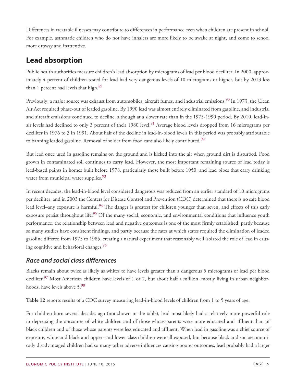Differences in treatable illnesses may contribute to differences in performance even when children are present in school. For example, asthmatic children who do not have inhalers are more likely to be awake at night, and come to school more drowsy and inattentive.

# **Lead absorption**

Public health authorities measure children's lead absorption by micrograms of lead per blood deciliter. In 2000, approximately 4 percent of children tested for lead had very dangerous levels of 10 micrograms or higher, but by 2013 less than 1 percent had levels that high.<sup>[89](#page-32-1)</sup>

<span id="page-18-2"></span><span id="page-18-1"></span><span id="page-18-0"></span>Previously, a major source was exhaust from automobiles, aircraft fumes, and industrial emissions.<sup>[90](#page-32-2)</sup> In 1973, the Clean Air Act required phase-out of leaded gasoline. By 1990 lead was almost entirely eliminated from gasoline, and industrial and aircraft emissions continued to decline, although at a slower rate than in the 1975-1990 period. By 2010, lead-in-air levels had declined to only 3 percent of their 1980 level.<sup>[91](#page-32-3)</sup> Average blood levels dropped from 16 micrograms per deciliter in 1976 to 3 in 1991. About half of the decline in lead-in-blood levels in this period was probably attributable to banning leaded gasoline. Removal of solder from food cans also likely contributed.<sup>[92](#page-32-4)</sup>

<span id="page-18-3"></span>But lead once used in gasoline remains on the ground and is kicked into the air when ground dirt is disturbed. Food grown in contaminated soil continues to carry lead. However, the most important remaining source of lead today is lead-based paints in homes built before 1978, particularly those built before 1950, and lead pipes that carry drinking water from municipal water supplies.<sup>[93](#page-32-5)</sup>

<span id="page-18-6"></span><span id="page-18-5"></span><span id="page-18-4"></span>In recent decades, the lead-in-blood level considered dangerous was reduced from an earlier standard of 10 micrograms per deciliter, and in 2003 the Centers for Disease Control and Prevention (CDC) determined that there is no safe blood lead level–any exposure is harmful.<sup>[94](#page-32-6)</sup> The danger is greatest for children younger than seven, and effects of this early exposure persist throughout life.<sup>[95](#page-32-7)</sup> Of the many social, economic, and environmental conditions that influence youth performance, the relationship between lead and negative outcomes is one of the most firmly established, partly because so many studies have consistent findings, and partly because the rates at which states required the elimination of leaded gasoline differed from 1975 to 1985, creating a natural experiment that reasonably well isolated the role of lead in caus-ing cognitive and behavioral changes.<sup>[96](#page-32-8)</sup>

# <span id="page-18-7"></span>*Race and social class differences*

<span id="page-18-8"></span>Blacks remain about twice as likely as whites to have levels greater than a dangerous 5 micrograms of lead per blood deciliter.<sup>[97](#page-32-9)</sup> Most American children have levels of 1 or 2, but about half a million, mostly living in urban neighborhoods, have levels above 5.[98](#page-32-10)

<span id="page-18-9"></span>**Table 12** reports results of a CDC survey measuring lead-in-blood levels of children from 1 to 5 years of age.

For children born several decades ago (not shown in the table), lead most likely had a relatively more powerful role in depressing the outcomes of white children and of those whose parents were more educated and affluent than of black children and of those whose parents were less educated and affluent. When lead in gasoline was a chief source of exposure, white and black and upper- and lower-class children were all exposed, but because black and socioeconomically disadvantaged children had so many other adverse influences causing poorer outcomes, lead probably had a larger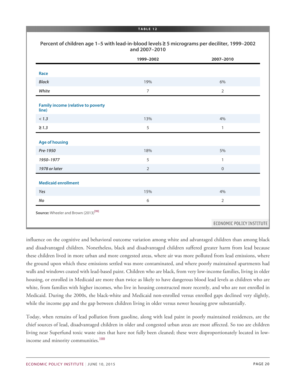|                                                         | 1999-2002      | 2007-2010                        |
|---------------------------------------------------------|----------------|----------------------------------|
| Race                                                    |                |                                  |
| <b>Black</b>                                            | 19%            | 6%                               |
| White                                                   | $\overline{7}$ | $\overline{2}$                   |
| <b>Family income (relative to poverty</b><br>line)      |                |                                  |
| < 1.3                                                   | 13%            | 4%                               |
| $\geq 1.3$                                              | 5              | $\,1$                            |
| <b>Age of housing</b>                                   |                |                                  |
| Pre-1950                                                | 18%            | 5%                               |
| 1950-1977                                               | 5              | $\mathbf{1}$                     |
| 1978 or later                                           | $\overline{2}$ | $\boldsymbol{0}$                 |
| <b>Medicaid enrollment</b>                              |                |                                  |
| Yes                                                     | 15%            | 4%                               |
| No                                                      | 6              | $\overline{2}$                   |
| <b>Source:</b> Wheeler and Brown (2013) <sup>[99]</sup> |                |                                  |
|                                                         |                | <b>ECONOMIC POLICY INSTITUTE</b> |

influence on the cognitive and behavioral outcome variation among white and advantaged children than among black and disadvantaged children. Nonetheless, black and disadvantaged children suffered greater harm from lead because these children lived in more urban and more congested areas, where air was more polluted from lead emissions, where the ground upon which these emissions settled was more contaminated, and where poorly maintained apartments had walls and windows coated with lead-based paint. Children who are black, from very low-income families, living in older housing, or enrolled in Medicaid are more than twice as likely to have dangerous blood lead levels as children who are white, from families with higher incomes, who live in housing constructed more recently, and who are not enrolled in Medicaid. During the 2000s, the black-white and Medicaid non-enrolled versus enrolled gaps declined very slightly, while the income gap and the gap between children living in older versus newer housing grew substantially.

<span id="page-19-0"></span>Today, when remains of lead pollution from gasoline, along with lead paint in poorly maintained residences, are the chief sources of lead, disadvantaged children in older and congested urban areas are most affected. So too are children living near Superfund toxic waste sites that have not fully been cleaned; these were disproportionately located in low-income and minority communities.<sup>[100](#page-32-11)</sup>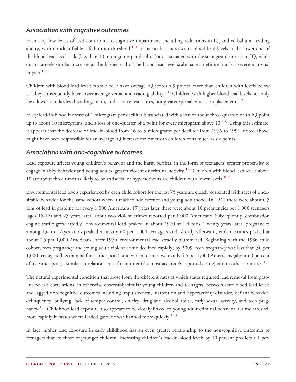## *Association with cognitive outcomes*

<span id="page-20-0"></span>Even very low levels of lead contribute to cognitive impairment, including reductions in IQ and verbal and reading ability, with no identifiable safe bottom threshold.<sup>[101](#page-32-12)</sup> In particular, increases in blood lead levels at the lower end of the blood-lead-level scale (less than 10 micrograms per deciliter) are associated with the strongest decreases in IQ, while quantitatively similar increases at the higher end of the blood-lead-level scale have a definite but less severe marginal impact.<sup>[102](#page-33-0)</sup>

<span id="page-20-2"></span><span id="page-20-1"></span>Children with blood lead levels from 5 to 9 have average IQ scores 4.9 points lower than children with levels below 5. They consequently have lower average verbal and reading ability.<sup>[103](#page-33-1)</sup> Children with higher blood lead levels not only have lower standardized reading, math, and science test scores, but greater special education placement.<sup>[104](#page-33-2)</sup>

<span id="page-20-4"></span><span id="page-20-3"></span>Every lead-in-blood increase of 1 microgram per deciliter is associated with a loss of about three-quarters of an IQ point up to about 10 micrograms, and a loss of one-quarter of a point for every microgram above 10.<sup>[105](#page-33-3)</sup> Using this estimate, it appears that the decrease of lead-in-blood from 16 to 3 micrograms per deciliter from 1976 to 1991, noted above, might have been responsible for an average IQ increase for American children of as much as six points.

### *Association with non-cognitive outcomes*

<span id="page-20-6"></span><span id="page-20-5"></span>Lead exposure affects young children's behavior and the harm persists, in the form of teenagers' greater propensity to engage in risky behavior and young adults' greater violent or criminal activity.[106](#page-33-4) Children with blood lead levels above 10 are about three times as likely to be antisocial or hyperactive as are children with lower levels.<sup>[107](#page-33-5)</sup>

Environmental lead levels experienced by each child cohort for the last 75 years are closely correlated with rates of undesirable behavior for the same cohort when it reached adolescence and young adulthood. In 1941 there were about 0.3 tons of lead in gasoline for every 1,000 Americans; 17 years later there were about 10 pregnancies per 1,000 teenagers (ages 15-17) and 23 years later, about two violent crimes reported per 1,000 Americans. Subsequently, combustion engine traffic grew rapidly. Environmental lead peaked in about 1970 at 1.4 tons. Twenty years later, pregnancies among 15- to 17-year-olds peaked at nearly 60 per 1,000 teenagers and, shortly afterward, violent crimes peaked at about 7.5 per 1,000 Americans. After 1970, environmental lead steadily plummeted. Beginning with the 1986 child cohort, teen pregnancy and young adult violent crime declined rapidly; by 2009, teen pregnancy was less than 30 per 1,000 teenagers (less than half its earlier peak), and violent crimes were only 4.5 per 1,000 Americans (about 60 percent of its earlier peak). Similar correlations exist for murder (the most accurately reported crime) and in other countries.<sup>[108](#page-33-6)</sup>

<span id="page-20-7"></span>The natural experimental condition that arose from the different rates at which states required lead removal from gasoline reveals correlations, in otherwise observably similar young children and teenagers, between state blood lead levels and lagged non-cognitive outcomes including impulsiveness, inattention and hyperactivity disorder, defiant behavior, delinquency, bullying, lack of temper control, cruelty, drug and alcohol abuse, early sexual activity, and teen pregnancy.[109](#page-33-7) Childhood lead exposure also appears to be closely linked to young adult criminal behavior. Crime rates fell more rapidly in states where leaded gasoline was banned more quickly.<sup>[110](#page-33-8)</sup>

<span id="page-20-9"></span><span id="page-20-8"></span>In fact, higher lead exposure in early childhood has an even greater relationship to the non-cognitive outcomes of teenagers than to those of younger children. Increasing children's lead-in-blood levels by 10 percent predicts a 1 per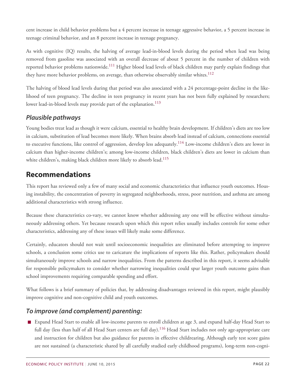cent increase in child behavior problems but a 4 percent increase in teenage aggressive behavior, a 5 percent increase in teenage criminal behavior, and an 8 percent increase in teenage pregnancy.

<span id="page-21-0"></span>As with cognitive (IQ) results, the halving of average lead-in-blood levels during the period when lead was being removed from gasoline was associated with an overall decrease of about 5 percent in the number of children with reported behavior problems nationwide.<sup>[111](#page-33-9)</sup> Higher blood lead levels of black children may partly explain findings that they have more behavior problems, on average, than otherwise observably similar whites.<sup>[112](#page-34-0)</sup>

<span id="page-21-1"></span>The halving of blood lead levels during that period was also associated with a 24 percentage-point decline in the likelihood of teen pregnancy. The decline in teen pregnancy in recent years has not been fully explained by researchers; lower lead-in-blood levels may provide part of the explanation.<sup>[113](#page-34-1)</sup>

# <span id="page-21-2"></span>*Plausible pathways*

<span id="page-21-3"></span>Young bodies treat lead as though it were calcium, essential to healthy brain development. If children's diets are too low in calcium, substitution of lead becomes more likely. When brains absorb lead instead of calcium, connections essential to executive functions, like control of aggression, develop less adequately.<sup>[114](#page-34-2)</sup> Low-income children's diets are lower in calcium than higher-income children's; among low-income children, black children's diets are lower in calcium than white children's, making black children more likely to absorb lead.<sup>[115](#page-34-3)</sup>

# <span id="page-21-4"></span>**Recommendations**

This report has reviewed only a few of many social and economic characteristics that influence youth outcomes. Housing instability, the concentration of poverty in segregated neighborhoods, stress, poor nutrition, and asthma are among additional characteristics with strong influence.

Because these characteristics co-vary, we cannot know whether addressing any one will be effective without simultaneously addressing others. Yet because research upon which this report relies usually includes controls for some other characteristics, addressing any of these issues will likely make some difference.

Certainly, educators should not wait until socioeconomic inequalities are eliminated before attempting to improve schools, a conclusion some critics use to caricature the implications of reports like this. Rather, policymakers should simultaneously improve schools and narrow inequalities. From the patterns described in this report, it seems advisable for responsible policymakers to consider whether narrowing inequalities could spur larger youth outcome gains than school improvements requiring comparable spending and effort.

What follows is a brief summary of policies that, by addressing disadvantages reviewed in this report, might plausibly improve cognitive and non-cognitive child and youth outcomes.

# *To improve (and complement) parenting:*

<span id="page-21-5"></span>Expand Head Start to enable all low-income parents to enroll children at age 3, and expand half-day Head Start to full day (less than half of all Head Start centers are full day).<sup>[116](#page-34-4)</sup> Head Start includes not only age-appropriate care and instruction for children but also guidance for parents in effective childrearing. Although early test score gains are not sustained (a characteristic shared by all carefully studied early childhood programs), long-term non-cogni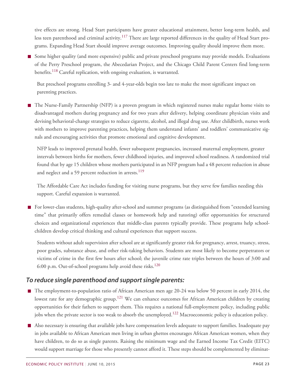tive effects are strong. Head Start participants have greater educational attainment, better long-term health, and less teen parenthood and criminal activity.<sup>[117](#page-34-5)</sup> There are large reported differences in the quality of Head Start programs. Expanding Head Start should improve average outcomes. Improving quality should improve them more.

<span id="page-22-1"></span><span id="page-22-0"></span>Some higher quality (and more expensive) public and private preschool programs may provide models. Evaluations of the Perry Preschool program, the Abecedarian Project, and the Chicago Child Parent Centers find long-term benefits.<sup>[118](#page-34-6)</sup> Careful replication, with ongoing evaluation, is warranted.

But preschool programs enrolling 3- and 4-year-olds begin too late to make the most significant impact on parenting practices.

■ The Nurse-Family Partnership (NFP) is a proven program in which registered nurses make regular home visits to disadvantaged mothers during pregnancy and for two years after delivery, helping coordinate physician visits and devising behavioral-change strategies to reduce cigarette, alcohol, and illegal drug use. After childbirth, nurses work with mothers to improve parenting practices, helping them understand infants' and toddlers' communicative signals and encouraging activities that promote emotional and cognitive development.

NFP leads to improved prenatal health, fewer subsequent pregnancies, increased maternal employment, greater intervals between births for mothers, fewer childhood injuries, and improved school readiness. A randomized trial found that by age 15 children whose mothers participated in an NFP program had a 48 percent reduction in abuse and neglect and a 59 percent reduction in arrests.<sup>[119](#page-34-7)</sup>

<span id="page-22-2"></span>The Affordable Care Act includes funding for visiting nurse programs, but they serve few families needing this support. Careful expansion is warranted.

For lower-class students, high-quality after-school and summer programs (as distinguished from "extended learning time" that primarily offers remedial classes or homework help and tutoring) offer opportunities for structured choices and organizational experiences that middle-class parents typically provide. These programs help schoolchildren develop critical thinking and cultural experiences that support success.

Students without adult supervision after school are at significantly greater risk for pregnancy, arrest, truancy, stress, poor grades, substance abuse, and other risk-taking behaviors. Students are most likely to become perpetrators or victims of crime in the first few hours after school; the juvenile crime rate triples between the hours of 3:00 and 6:00 p.m. Out-of-school programs help avoid these risks.<sup>[120](#page-34-8)</sup>

# <span id="page-22-3"></span>*To reduce single parenthood and support single parents:*

- <span id="page-22-4"></span>■ The employment-to-population ratio of African American men age 20-24 was below 50 percent in early 2014, the lowest rate for any demographic group.<sup>[121](#page-34-9)</sup> We can enhance outcomes for African American children by creating opportunities for their fathers to support them. This requires a national full-employment policy, including public jobs when the private sector is too weak to absorb the unemployed.<sup>[122](#page-34-10)</sup> Macroeconomic policy is education policy.
- <span id="page-22-5"></span>Also necessary is ensuring that available jobs have compensation levels adequate to support families. Inadequate pay in jobs available to African American men living in urban ghettos encourages African American women, when they have children, to do so as single parents. Raising the minimum wage and the Earned Income Tax Credit (EITC) would support marriage for those who presently cannot afford it. These steps should be complemented by eliminat-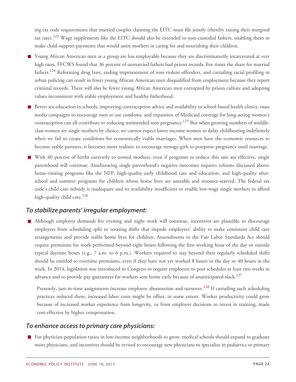ing tax code requirements that married couples claiming the EITC must file jointly (thereby raising their marginal tax rate).<sup>[123](#page-34-11)</sup> Wage supplements like the EITC should also be extended to non-custodial fathers, enabling them to make child-support payments that would assist mothers in caring for and nourishing their children.

- <span id="page-23-1"></span><span id="page-23-0"></span>Young African American men as a group are less employable because they are discriminatorily incarcerated at very high rates. FFCWS found that 36 percent of unmarried fathers had prison records, five times the share for married fathers.<sup>[124](#page-35-0)</sup> Reforming drug laws, ending imprisonment of non-violent offenders, and curtailing racial profiling in urban policing can result in fewer young African American men disqualified from employment because they report criminal records. There will also be fewer young African American men corrupted by prison culture and adopting values inconsistent with stable employment and healthy fatherhood.
- <span id="page-23-2"></span>Better sex education in schools, improving contraception advice and availability in school-based health clinics, mass media campaigns to encourage men to use condoms, and expansion of Medicaid coverage for long-acting women's contraception can all contribute to reducing unintended teen pregnancy.<sup>[125](#page-35-1)</sup> But when growing numbers of middleclass women are single mothers by choice, we cannot expect lower-income women to delay childbearing indefinitely when we fail to create conditions for economically viable marriages. When men have the economic resources to become stable partners, it becomes more realistic to encourage teenage girls to postpone pregnancy until marriage.
- With 40 percent of births currently to unwed mothers, even if programs to reduce this rate are effective, single parenthood will continue. Ameliorating single parenthood's negative outcomes requires reforms discussed above: home-visiting programs like the NFP, high-quality early childhood care and education, and high-quality afterschool and summer programs for children whose home lives are unstable and resource-starved. The federal tax code's child care subsidy is inadequate and its availability insufficient to enable low-wage single mothers to afford high-quality child care.<sup>[126](#page-35-2)</sup>

### <span id="page-23-3"></span>*To stabilize parents' irregular employment:*

Although employer demands for evening and night work will continue, incentives are plausible to discourage employers from scheduling split or rotating shifts that impede employees' ability to make consistent child care arrangements and provide stable home lives for children. Amendments to the Fair Labor Standards Act should require premiums for work performed beyond eight hours following the first working hour of the day or outside typical daytime hours (e.g., 7 a.m. to 6 p.m.). Workers required to stay beyond their regularly scheduled shifts should be entitled to overtime premiums, even if they have not yet worked 8 hours in the day or 40 hours in the week. In 2014, legislation was introduced in Congress to require employers to post schedules at least two weeks in advance and to provide pay guarantees for workers sent home early because of unanticipated slack.<sup>[127](#page-35-3)</sup>

<span id="page-23-5"></span><span id="page-23-4"></span>Presently, just-in-time assignments increase employee absenteeism and turnover.<sup>[128](#page-35-4)</sup> If curtailing such scheduling practices reduced these, increased labor costs might be offset, to some extent. Worker productivity could grow because of increased worker experience from longevity, or from employer decisions to invest in training, made cost-effective by higher compensation.

### *To enhance access to primary care physicians:*

For physician-population ratios in low-income neighborhoods to grow, medical schools should expand to graduate more physicians, and incentives should be revised to encourage new physicians to specialize in pediatrics or primary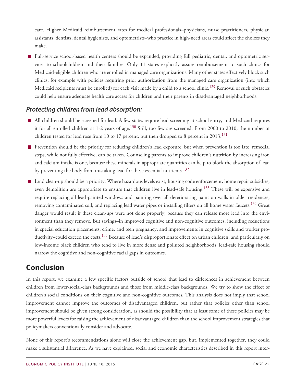care. Higher Medicaid reimbursement rates for medical professionals–physicians, nurse practitioners, physician assistants, dentists, dental hygienists, and optometrists–who practice in high-need areas could affect the choices they make.

Full-service school-based health centers should be expanded, providing full pediatric, dental, and optometric services to schoolchildren and their families. Only 11 states explicitly assure reimbursement to such clinics for Medicaid-eligible children who are enrolled in managed care organizations. Many other states effectively block such clinics, for example with policies requiring prior authorization from the managed care organization (into which Medicaid recipients must be enrolled) for each visit made by a child to a school clinic*.* [129](#page-35-5) Removal of such obstacles could help ensure adequate health care access for children and their parents in disadvantaged neighborhoods.

### <span id="page-24-0"></span>*Protecting children from lead absorption:*

- <span id="page-24-1"></span>All children should be screened for lead. A few states require lead screening at school entry, and Medicaid requires it for all enrolled children at 1-2 years of age.<sup>[130](#page-35-6)</sup> Still, too few are screened. From 2000 to 2010, the number of children tested for lead rose from 10 to 17 percent, but then dropped to 8 percent in  $2013$ .<sup>[131](#page-35-7)</sup>
- <span id="page-24-2"></span>**Prevention should be the priority for reducing children's lead exposure, but when prevention is too late, remedial** steps, while not fully effective, can be taken. Counseling parents to improve children's nutrition by increasing iron and calcium intake is one, because these minerals in appropriate quantities can help to block the absorption of lead by preventing the body from mistaking lead for these essential nutrients.<sup>[132](#page-35-8)</sup>
- <span id="page-24-5"></span><span id="page-24-4"></span><span id="page-24-3"></span>■ Lead clean-up should be a priority. Where hazardous levels exist, housing code enforcement, home repair subsidies, even demolition are appropriate to ensure that children live in lead-safe housing.<sup>[133](#page-35-9)</sup> These will be expensive and require replacing all lead-painted windows and painting over all deteriorating paint on walls in older residences, removing contaminated soil, and replacing lead water pipes or installing filters on all home water faucets.<sup>[134](#page-35-10)</sup> Great danger would result if these clean-ups were not done properly, because they can release more lead into the environment than they remove. But savings–in improved cognitive and non-cognitive outcomes, including reductions in special education placements, crime, and teen pregnancy, and improvements in cognitive skills and worker pro-ductivity–could exceed the costs.<sup>[135](#page-35-11)</sup> Because of lead's disproportionate effect on urban children, and particularly on low-income black children who tend to live in more dense and polluted neighborhoods, lead-safe housing should narrow the cognitive and non-cognitive racial gaps in outcomes.

# <span id="page-24-6"></span>**Conclusion**

In this report, we examine a few specific factors outside of school that lead to differences in achievement between children from lower-social-class backgrounds and those from middle-class backgrounds. We try to show the effect of children's social conditions on their cognitive and non-cognitive outcomes. This analysis does not imply that school improvement cannot improve the outcomes of disadvantaged children, but rather that policies other than school improvement should be given strong consideration, as should the possibility that at least some of these policies may be more powerful levers for raising the achievement of disadvantaged children than the school improvement strategies that policymakers conventionally consider and advocate.

None of this report's recommendations alone will close the achievement gap, but, implemented together, they could make a substantial difference. As we have explained, social and economic characteristics described in this report inter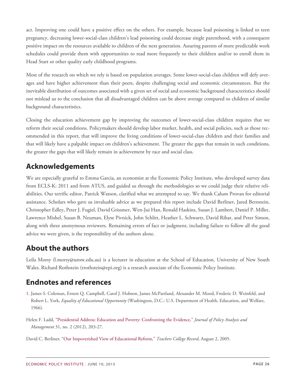act. Improving one could have a positive effect on the others. For example, because lead poisoning is linked to teen pregnancy, decreasing lower-social-class children's lead poisoning could decrease single parenthood, with a consequent positive impact on the resources available to children of the next generation. Assuring parents of more predictable work schedules could provide them with opportunities to read more frequently to their children and/or to enroll them in Head Start or other quality early childhood programs.

Most of the research on which we rely is based on population averages. Some lower-social-class children will defy averages and have higher achievement than their peers, despite challenging social and economic circumstances. But the inevitable distribution of outcomes associated with a given set of social and economic background characteristics should not mislead us to the conclusion that all disadvantaged children can be above average compared to children of similar background characteristics.

Closing the education achievement gap by improving the outcomes of lower-social-class children requires that we reform their social conditions. Policymakers should develop labor market, health, and social policies, such as those recommended in this report, that will improve the living conditions of lower-social-class children and their families and that will likely have a palpable impact on children's achievement. The greater the gaps that remain in such conditions, the greater the gaps that will likely remain in achievement by race and social class.

# **Acknowledgements**

We are especially grateful to Emma Garcia, an economist at the Economic Policy Institute, who developed survey data from ECLS-K: 2011 and from ATUS, and guided us through the methodologies so we could judge their relative reliabilities. Our terrific editor, Patrick Watson, clarified what we attempted to say. We thank Calum Provan for editorial assistance. Scholars who gave us invaluable advice as we prepared this report include David Berliner, Jared Bernstein, Christopher Edley, Peter J. Fugiel, David Grissmer, Wen-Jui Han, Ronald Haskins, Susan J. Lambert, Daniel P. Miller, Lawrence Mishel, Susan B. Neuman, Elyse Pivnick, John Schlitt, Heather L. Schwartz, David Ribar, and Peter Simon, along with three anonymous reviewers. Remaining errors of fact or judgment, including failure to follow all the good advice we were given, is the responsibility of the authors alone.

# **About the authors**

Leila Morsy (l.morsy@unsw.edu.au) is a lecturer in education at the School of Education, University of New South Wales. Richard Rothstein (rrothstein@epi.org) is a research associate of the Economic Policy Institute.

# **Endnotes and references**

- <span id="page-25-0"></span>[1.](#page-3-2) James S. Coleman, Ernest Q. Campbell, Carol J. Hobson, James McPartland, Alexander M. Mood, Frederic D. Weinfeld, and Robert L. York, *Equality of Educational Opportunity* (Washington, D.C.: U.S. Department of Health, Education, and Welfare, 1966).
- Helen F. Ladd, "[Presidential Address: Education and Poverty: Confronting the Evidence](http://www.appam.org/assets/1/7/Education_and_Poverty__Confronting_the_Evidence_-_Ladd_-_2012_-_Journal_of_Polic.pdf)," *Journal of Policy Analysis and Management* 31, no. 2 (2012), 203-27.
- David C. Berliner, ["Our Impoverished View of Educational Reform,](http://www.tcrecord.org/content.asp?contentid=12106)" *Teachers College Record*, August 2, 2005.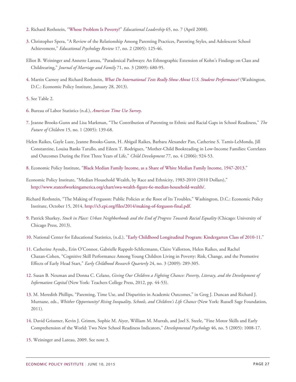- <span id="page-26-0"></span>[2.](#page-3-3) Richard Rothstein, "[Whose Problem Is Poverty?](http://www.epi.org/publication/ascd_whose_problem_is_poverty/)" *Educational Leadership* 65, no. 7 (April 2008).
- <span id="page-26-1"></span>[3.](#page-4-4) Christopher Spera, "A Review of the Relationship Among Parenting Practices, Parenting Styles, and Adolescent School Achievement," *Educational Psychology Review* 17, no. 2 (2005): 125-46.
- Elliot B. Weininger and Annette Lareau, "Paradoxical Pathways: An Ethnographic Extension of Kohn's Findings on Class and Childrearing," *Journal of Marriage and Family* 71, no. 3 (2009): 680-95.
- <span id="page-26-2"></span>[4.](#page-5-2) Martin Carnoy and Richard Rothstein, *[What Do International Tests Really Show About U.S. Student Performance?](http://www.epi.org/files/2013/EPI-What-do-international-tests-really-show-about-US-student-performance.pdf)* (Washington, D.C.: Economic Policy Institute, January 28, 2013).
- <span id="page-26-3"></span>[5.](#page-5-3) See Table 2.
- 6. Bureau of Labor Statistics (n.d.), *[American Time Use Survey]( http:/www.bls.gov/tus)*.
- <span id="page-26-4"></span>[7.](#page-5-4) Jeanne Brooks-Gunn and Lisa Markman, "The Contribution of Parenting to Ethnic and Racial Gaps in School Readiness," *The Future of Children* 15, no. 1 (2005): 139-68.
- Helen Raikes, Gayle Luze, Jeanne Brooks-Gunn, H. Abigail Raikes, Barbara Alexander Pan, Catherine S. Tamis-LeMonda, Jill Constantine, Louisa Banks Tarullo, and Eileen T. Rodriguez, "Mother-Child Bookreading in Low‐Income Families: Correlates and Outcomes During the First Three Years of Life," *Child Development* 77, no. 4 (2006): 924-53.
- <span id="page-26-5"></span>[8.](#page-5-5) Economic Policy Institute, "[Black Median Family Income, as a Share of White Median Family Income,](http://www.stateofworkingamerica.org/charts/ratio-of-black-and-hispanic-to-white-median-family-income-1947-2010/) 1947-2013."
- Economic Policy Institute, "Median Household Wealth, by Race and Ethnicity, 1983-2010 (2010 Dollars)," [http://www.stateofworkingamerica.org/chart/swa-wealth-figure-6e-median-household-wealth/.](http://www.stateofworkingamerica.org/chart/swa-wealth-figure-6e-median-household-wealth/)
- Richard Rothstein, "The Making of Ferguson: Public Policies at the Root of Its Troubles," Washington, D.C.: Economic Policy Institute, October 15, 2014, <http://s3.epi.org/files/2014/making-of-ferguson-final.pdf>.
- <span id="page-26-6"></span>[9.](#page-6-0) Patrick Sharkey, *Stuck in Place: Urban Neighborhoods and the End of Progress Towards Racial Equality* (Chicago: University of Chicago Press, 2013).
- 10. National Center for Educational Statistics, (n.d.), ["Early Childhood Longitudinal Program: Kindergarten Class of 2010-11.](http://nces.ed.gov/ecls/kindergarten2011.asp)"
- <span id="page-26-7"></span>[11.](#page-6-1) Catherine Ayoub,, Erin O'Connor, Gabrielle Rappolt-Schlictmann, Claire Vallotton, Helen Raikes, and Rachel Chazan-Cohen, "Cognitive Skill Performance Among Young Children Living in Poverty: Risk, Change, and the Promotive Effects of Early Head Start," *Early Childhood Research Quarterly* 24, no. 3 (2009): 289-305.
- <span id="page-26-8"></span>[12.](#page-6-2) Susan B. Neuman and Donna C. Celano, *Giving Our Children a Fighting Chance: Poverty, Literacy, and the Development of Information Capital* (New York: Teachers College Press, 2012, pp. 44-53).
- <span id="page-26-9"></span>[13.](#page-6-3) M. Meredith Phillips, "Parenting, Time Use, and Disparities in Academic Outcomes," in Greg J. Duncan and Richard J. Murnane, eds., *Whither Opportunity? Rising Inequality, Schools, and Children's Life Chance* (New York: Russell Sage Foundation, 2011).
- <span id="page-26-10"></span>[14.](#page-6-4) David Grissmer, Kevin J. Grimm, Sophie M. Aiyer, William M. Murrah, and Joel S. Steele, "Fine Motor Skills and Early Comprehension of the World: Two New School Readiness Indicators," *Developmental Psychology* 46, no. 5 (2005): 1008-17.
- <span id="page-26-11"></span>[15.](#page-7-0) Weininger and Lareau, 2009. See note 3.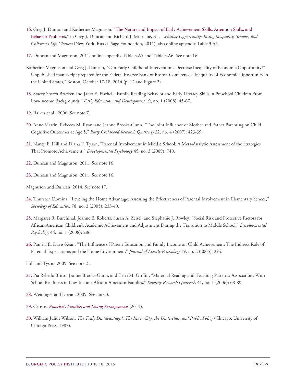- <span id="page-27-0"></span>[16.](#page-7-1) Greg J. Duncan and Katherine Magnuson, ["The Nature and Impact of Early Achievement Skills, Attention Skills, and](http://www.russellsage.org/sites/all/files/duncan_murnane_online_appendix.pdf) [Behavior Problems](http://www.russellsage.org/sites/all/files/duncan_murnane_online_appendix.pdf)," in Greg J. Duncan and Richard J. Murnane, eds., *Whither Opportunity? Rising Inequality, Schools, and Children's Life Chances* (New York: Russell Sage Foundation, 2011), also online appendix Table 3.A5.
- <span id="page-27-1"></span>[17.](#page-7-2) Duncan and Magnuson, 2011, online appendix Table 3.A5 and Table 3.A6. See note 16.
- Katherine Magnuson and Greg J. Duncan, "Can Early Childhood Interventions Decrease Inequality of Economic Opportunity?" Unpublished manuscript prepared for the Federal Reserve Bank of Boston Conference, "Inequality of Economic Opportunity in the United States," Boston, October 17-18, 2014 (p. 12 and Figure 2).
- <span id="page-27-2"></span>[18.](#page-7-3) Stacey Storch Bracken and Janet E. Fischel, "Family Reading Behavior and Early Literacy Skills in Preschool Children From Low-income Backgrounds," *Early Education and Development* 19, no. 1 (2008): 45-67.
- <span id="page-27-3"></span>[19.](#page-7-4) Raikes et al., 2006. See note 7.
- <span id="page-27-4"></span>[20.](#page-7-5) Anne Martin, Rebecca M. Ryan, and Jeanne Brooks-Gunn, "The Joint Influence of Mother and Father Parenting on Child Cognitive Outcomes at Age 5," *Early Childhood Research Quarterly* 22, no. 4 (2007): 423-39.
- <span id="page-27-5"></span>[21.](#page-7-6) Nancy E. Hill and Diana F. Tyson, "Parental Involvement in Middle School: A Meta-Analytic Assessment of the Strategies That Promote Achievement," *Developmental Psychology* 45, no. 3 (2009): 740.
- <span id="page-27-6"></span>[22.](#page-7-7) Duncan and Magnuson, 2011. See note 16.
- <span id="page-27-7"></span>[23.](#page-7-8) Duncan and Magnuson, 2011. See note 16.
- Magnuson and Duncan, 2014. See note 17.
- <span id="page-27-8"></span>[24.](#page-7-9) Thurston Domina, "Leveling the Home Advantage: Assessing the Effectiveness of Parental Involvement in Elementary School," *Sociology of Education* 78, no. 3 (2005): 233-49.
- <span id="page-27-9"></span>[25.](#page-7-10) Margaret R. Burchinal, Joanne E. Roberts, Susan A. Zeisel, and Stephanie J. Rowley, "Social Risk and Protective Factors for African American Children's Academic Achievement and Adjustment During the Transition to Middle School," *Developmental Psychology* 44, no. 1 (2008): 286.
- <span id="page-27-10"></span>[26.](#page-7-11) Pamela E. Davis-Kean, "The Influence of Parent Education and Family Income on Child Achievement: The Indirect Role of Parental Expectations and the Home Environment," *Journal of Family Psychology* 19, no. 2 (2005): 294.
- Hill and Tyson, 2009. See note 21.
- <span id="page-27-11"></span>[27.](#page-8-0) Pia Rebello Britto, Jeanne Brooks-Gunn, and Terri M. Griffin, "Maternal Reading and Teaching Patterns: Associations With School Readiness in Low-Income African American Families," *Reading Research Quarterly* 41, no. 1 (2006): 68-89.
- <span id="page-27-12"></span>[28.](#page-8-1) Weininger and Lareau, 2009. See note 3.
- 29. Census, *[America's Families and Living Arrangements](http://www.census.gov/hhes/families/data/cps2013C.html)* (2013).
- <span id="page-27-13"></span>[30.](#page-8-2) William Julius Wilson, *The Truly Disadvantaged: The Inner City, the Underclass, and Public Policy* (Chicago: University of Chicago Press, 1987).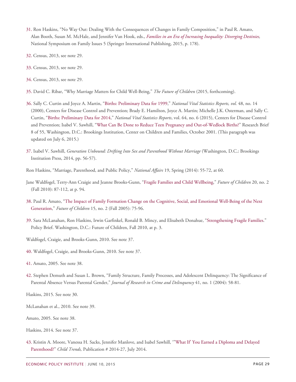- <span id="page-28-0"></span>[31.](#page-8-3) Ron Haskins, "No Way Out: Dealing With the Consequences of Changes in Family Composition," in Paul R. Amato, Alan Booth, Susan M. McHale, and Jennifer Van Hook, eds., *[Families in an Era of Increasing Inequality: Diverging Destinies](http://link.springer.com/chapter/10.1007%2F978-3-319-08308-7_13),* National Symposium on Family Issues 5 (Springer International Publishing, 2015, p. 178).
- 32. Census, 2013, see note 29.
- 33. Census, 2013, see note 29.
- <span id="page-28-1"></span>[34.](#page-9-0) Census, 2013, see note 29.
- <span id="page-28-2"></span>[35.](#page-9-1) David C. Ribar, "Why Marriage Matters for Child Well-Being," *The Future of Children* (2015, forthcoming).
- <span id="page-28-3"></span>[36.](#page-10-0) Sally C. Curtin and Joyce A. Martin, "[Births: Preliminary Data for 1999](http://www.cdc.gov/nchs/data/nvsr/nvsr48/nvs48_14.pdf)," *National Vital Statistics Reports, vol.* 48, no. 14 (2000), Centers for Disease Control and Prevention; Brady E. Hamilton, Joyce A. Martin; Michelle J.K. Osterman, and Sally C. Curtin, "[Births: Preliminary Data for 2014,](http://www.cdc.gov/nchs/data/nvsr/nvsr64/nvsr64_06.pd)" *National Vital Statistics Reports*, vol. 64, no. 6 (2015), Centers for Disease Control and Prevention; Isabel V. Sawhill, ["What Can Be Done to Reduce Teen Pregnancy and Out-of-Wedlock Births?"](http://www.brookings.edu/research/papers/2001/10/childrenfamilies-sawhill) Research Brief 8 of 55, Washington, D.C.: Brookings Institution, Center on Children and Families, October 2001. (This paragraph was updated on July 6, 2015.)
- <span id="page-28-4"></span>[37.](#page-10-1) Isabel V. Sawhill, *Generation Unbound: Drifting Into Sex and Parenthood Without Marriage* (Washington, D.C.: Brookings Institution Press, 2014, pp. 56-57).
- Ron Haskins, "Marriage, Parenthood, and Public Policy," *National Affairs* 19, Spring (2014): 55-72, at 60.
- Jane Waldfogel, Terry-Ann Craigie and Jeanne Brooks-Gunn, "[Fragile Families and Child Wellbeing,](http://www.futureofchildren.org/futureofchildren/publications/docs/20_02_05.pdf)" *Future of Children* 20, no. 2 (Fall 2010): 87-112, at p. 94.
- <span id="page-28-5"></span>[38.](#page-10-2) Paul R. Amato, ["The Impact of Family Formation Change on the Cognitive, Social, and Emotional Well-Being of the Next](http://www.princeton.edu/futureofchildren/publications/docs/15_02_05.pdf) [Generation](http://www.princeton.edu/futureofchildren/publications/docs/15_02_05.pdf)," *Future of Children* 15, no. 2 (Fall 2005): 75-96.
- <span id="page-28-6"></span>[39.](#page-10-3) Sara McLanahan, Ron Haskins, Irwin Garfinkel, Ronald B. Mincy, and Elisabeth Donahue, ["Strengthening Fragile Families.](http://www.princeton.edu/futureofchildren/publications/docs/20_02_PolicyBrief.pdf)" Policy Brief. Washington, D.C.: Future of Children, Fall 2010, at p. 3.
- Waldfogel, Craigie, and Brooks-Gunn, 2010. See note 37.
- <span id="page-28-7"></span>[40.](#page-10-4) Waldfogel, Craigie, and Brooks-Gunn, 2010. See note 37.
- 41. Amato, 2005. See note 38.
- <span id="page-28-8"></span>[42.](#page-10-5) Stephen Demuth and Susan L. Brown, "Family Structure, Family Processes, and Adolescent Delinquency: The Significance of Parental Absence Versus Parental Gender," *Journal of Research in Crime and Delinquency* 41, no. 1 (2004): 58-81.
- Haskins, 2015. See note 30.
- McLanahan et al., 2010. See note 39.
- Amato, 2005. See note 38.
- Haskins, 2014. See note 37.
- <span id="page-28-9"></span>[43.](#page-10-6) Kristin A. Moore, Vanessa H. Sacks, Jennifer Manlove, and Isabel Sawhill, '"[What If' You Earned a Diploma and Delayed](http://www.childtrends.org/wp-content/uploads/2014/12/2014-27SocialGenomeDelayChildbearing.pdf) [Parenthood?"](http://www.childtrends.org/wp-content/uploads/2014/12/2014-27SocialGenomeDelayChildbearing.pdf) *Child Trends,* Publication # 2014-27, July 2014.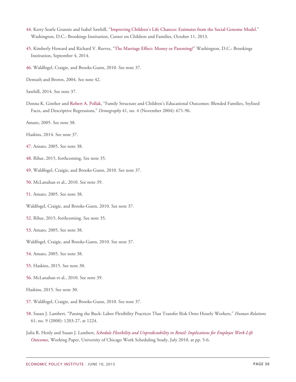- 44. Kerry Searle Grannis and Isabel Sawhill, "[Improving Children's Life Chances: Estimates from the Social Genome Model.](http://www.brookings.edu/research/papers/2013/10/11-improving-childrens-life-chances-sawhill-grannis)" Washington, D.C.: Brookings Institution, Center on Children and Families, October 11, 2013.
- 45. Kimberly Howard and Richard V. Reeves, ["The Marriage Effect: Money or Parenting?](http://www.brookings.edu/blogs/social-mobility-memos/posts/2014/09/04-marriage-social-mobility-parenting-income-reeves)" Washington, D.C.: Brookings Institution, September 4, 2014.
- <span id="page-29-0"></span>[46.](#page-11-0) Waldfogel, Craigie, and Brooks-Gunn, 2010. See note 37.
- Demuth and Brown, 2004. See note 42.
- Sawhill, 2014. See note 37.
- Donna K. Ginther and [Robert A. Pollak,](https://muse.jhu.edu/results?section1=author&search1=Robert%20A.%20Pollak) "Family Structure and Children's Educational Outcomes: Blended Families, Stylized Facts, and Descriptive Regressions," *Demography* 41, no. 4 (November 2004): 671-96.
- Amato, 2005. See note 38.
- Haskins, 2014. See note 37.
- <span id="page-29-1"></span>[47.](#page-11-1) Amato, 2005. See note 38.
- <span id="page-29-2"></span>[48.](#page-12-0) Ribar, 2015, forthcoming. See note 35.
- <span id="page-29-3"></span>[49.](#page-12-1) Waldfogel, Craigie, and Brooks-Gunn, 2010. See note 37.
- <span id="page-29-4"></span>[50.](#page-12-2) McLanahan et al., 2010. See note 39.
- <span id="page-29-5"></span>[51.](#page-12-3) Amato, 2005. See note 38.
- Waldfogel, Craigie, and Brooks-Gunn, 2010. See note 37.
- <span id="page-29-6"></span>[52.](#page-12-3) Ribar, 2015, forthcoming. See note 35.
- <span id="page-29-7"></span>[53.](#page-12-4) Amato, 2005. See note 38.
- Waldfogel, Craigie, and Brooks-Gunn, 2010. See note 37.
- <span id="page-29-8"></span>[54.](#page-12-5) Amato, 2005. See note 38.
- <span id="page-29-9"></span>[55.](#page-12-6) Haskins, 2015. See note 30.
- <span id="page-29-10"></span>[56.](#page-12-7) McLanahan et al., 2010. See note 39.
- Haskins, 2015. See note 30.
- <span id="page-29-11"></span>[57.](#page-12-8) Waldfogel, Craigie, and Brooks-Gunn, 2010. See note 37.
- <span id="page-29-12"></span>[58.](#page-12-9) Susan J. Lambert, "Passing the Buck: Labor Flexibility Practices That Transfer Risk Onto Hourly Workers," *Human Relations* 61, no. 9 (2008): 1203-27, at 1224.
- Julia R. Henly and Susan J. Lambert, *[Schedule Flexibility and Unpredictability in Retail: Implications for Employee Work-Life](https://ssascholars.uchicago.edu/work-scheduling-study/files/henly_lambert_unpredictability_and_work-life_outcomes.pdf) [Outcomes](https://ssascholars.uchicago.edu/work-scheduling-study/files/henly_lambert_unpredictability_and_work-life_outcomes.pdf),* Working Paper, University of Chicago Work Scheduling Study, July 2010, at pp. 5-6.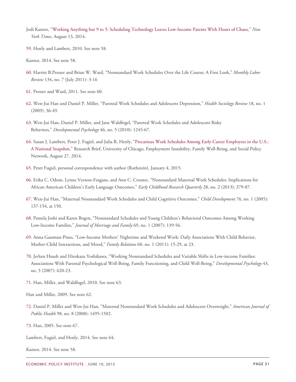- Jodi Kantor, ["Working Anything but 9 to 5: Scheduling Technology Leaves Low-Income Parents With Hours of Chaos,](http://www.nytimes.com/interactive/2014/08/13/us/starbucks-workers-scheduling-hours.html)" *New York Times*, August 13, 2014.
- <span id="page-30-0"></span>[59.](#page-12-10) Henly and Lambert, 2010. See note 58.
- Kantor, 2014. See note 58.
- 60. Harriet B.Presser and Brian W. Ward, "Nonstandard Work Schedules Over the Life Course: A First Look," *Monthly Labor Review* 134, no. 7 (July 2011): 3-16
- 61. Presser and Ward, 2011. See note 60.
- <span id="page-30-1"></span>[62.](#page-13-0) Wen-Jui Han and Daniel P. Miller, "Parental Work Schedules and Adolescent Depression," *Health Sociology Review* 18, no. 1 (2009): 36-49.
- <span id="page-30-2"></span>[63.](#page-13-1) Wen-Jui Han, Daniel P. Miller, and Jane Waldfogel, "Parental Work Schedules and Adolescent Risky Behaviors," *Developmental Psychology* 46, no. 5 (2010): 1245-67.
- 64. Susan J. Lambert, Peter J. Fugiel, and Julia R. Henly, ["Precarious Work Schedules Among Early-Career Employees in the U.S.:](http://ssascholars.uchicago.edu/work-scheduling-study/files/lambert.fugiel.henly_.precarious_work_schedules.august2014.pdf) [A National Snapshot](http://ssascholars.uchicago.edu/work-scheduling-study/files/lambert.fugiel.henly_.precarious_work_schedules.august2014.pdf)," Research Brief, University of Chicago, Employment Instability, Family Well-Being, and Social Policy Network, August 27, 2014.
- 65. Peter Fugiel, personal correspondence with author (Rothstein), January 4, 2015.
- <span id="page-30-3"></span>[66.](#page-14-0) Erika C. Odom, Lynne Vernon-Feagans, and Ann C. Crouter, "Nonstandard Maternal Work Schedules: Implications for African American Children's Early Language Outcomes," *Early Childhood Research Quarterly* 28, no. 2 (2013): 379-87.
- <span id="page-30-4"></span>[67.](#page-14-1) Wen-Jui Han, "Maternal Nonstandard Work Schedules and Child Cognitive Outcomes," *Child Development* 76, no. 1 (2005): 137-154, at 150.
- <span id="page-30-5"></span>[68.](#page-14-2) Pamela Joshi and Karen Bogen, "Nonstandard Schedules and Young Children's Behavioral Outcomes Among Working Low‐Income Families," *Journal of Marriage and Family* 69, no. 1 (2007): 139-56.
- <span id="page-30-6"></span>[69.](#page-15-0) Anna Gassman-Pines, "Low-Income Mothers' Nighttime and Weekend Work: Daily Associations With Child Behavior, Mother-Child Interactions, and Mood," *Family Relations* 60, no. 1 (2011): 15-29, at 23.
- <span id="page-30-7"></span>[70.](#page-15-1) JoAnn Hsueh and Hirokazu Yoshikawa, "Working Nonstandard Schedules and Variable Shifts in Low-income Families: Associations With Parental Psychological Well-Being, Family Functioning, and Child Well-Being," *Developmental Psychology* 43, no. 3 (2007): 620-23.
- <span id="page-30-8"></span>[71.](#page-15-2) Han, Miller, and Waldfogel, 2010. See note 63.
- Han and Miller, 2009. See note 62.
- <span id="page-30-9"></span>[72.](#page-15-3) Daniel P. Miller and Wen-Jui Han, "Maternal Nonstandard Work Schedules and Adolescent Overweight," *American Journal of Public Health* 98, no. 8 (2008): 1495-1502.
- <span id="page-30-10"></span>[73.](#page-15-4) Han, 2005. See note 67.
- Lambert, Fugiel, and Henly, 2014. See note 64.

Kantor, 2014. See note 58.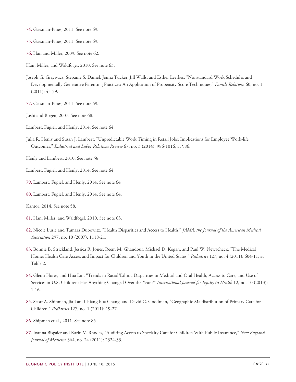- <span id="page-31-0"></span>[74.](#page-15-5) Gassman-Pines, 2011. See note 69.
- <span id="page-31-1"></span>[75.](#page-15-6) Gassman-Pines, 2011. See note 69.
- <span id="page-31-2"></span>[76.](#page-15-7) Han and Miller, 2009. See note 62.

Han, Miller, and Waldfogel, 2010. See note 63.

- Joseph G. Grzywacz, Stepanie S. Daniel, Jenna Tucker, Jill Walls, and Esther Leerkes, "Nonstandard Work Schedules and Developmentally Generative Parenting Practices: An Application of Propensity Score Techniques," *Family Relations* 60, no. 1 (2011): 45-59.
- <span id="page-31-3"></span>[77.](#page-15-8) Gassman-Pines, 2011. See note 69.
- Joshi and Bogen, 2007. See note 68.
- Lambert, Fugiel, and Henly, 2014. See note 64.
- Julia R. Henly and Susan J. Lambert, "Unpredictable Work Timing in Retail Jobs: Implications for Employee Work-life Outcomes," *Industrial and Labor Relations Review* 67, no. 3 (2014): 986-1016, at 986.
- Henly and Lambert, 2010. See note 58.
- Lambert, Fugiel, and Henly, 2014. See note 64
- <span id="page-31-4"></span>[79.](#page-16-0) Lambert, Fugiel, and Henly, 2014. See note 64
- <span id="page-31-5"></span>[80.](#page-16-1) Lambert, Fugiel, and Henly, 2014. See note 64.

Kantor, 2014. See note 58.

- <span id="page-31-6"></span>[81.](#page-16-2) Han, Miller, and Waldfogel, 2010. See note 63.
- <span id="page-31-7"></span>[82.](#page-16-3) Nicole Lurie and Tamara Dubowitz, "Health Disparities and Access to Health," *JAMA: the Journal of the American Medical Association* 297, no. 10 (2007): 1118-21.
- 83. Bonnie B. Strickland, Jessica R. Jones, Reem M. Ghandour, Michael D. Kogan, and Paul W. Newacheck, "The Medical Home: Health Care Access and Impact for Children and Youth in the United States," *Pediatrics* 127, no. 4 (2011): 604-11, at Table 2.
- <span id="page-31-8"></span>[84.](#page-16-4) Glenn Flores, and Hua Lin, "Trends in Racial/Ethnic Disparities in Medical and Oral Health, Access to Care, and Use of Services in U.S. Children: Has Anything Changed Over the Years?" *International Journal for Equity in Health* 12, no. 10 (2013): 1-16.
- <span id="page-31-9"></span>[85.](#page-16-5) Scott A. Shipman, Jia Lan, Chiang-hua Chang, and David C. Goodman, "Geographic Maldistribution of Primary Care for Children," *Pediatrics* 127, no. 1 (2011): 19-27.
- <span id="page-31-10"></span>[86.](#page-16-6) Shipman et al., 2011. See note 85.
- <span id="page-31-11"></span>[87.](#page-17-0) Joanna Bisgaier and Karin V. Rhodes, "Auditing Access to Specialty Care for Children With Public Insurance," *New England Journal of Medicine* 364, no. 24 (2011): 2324-33.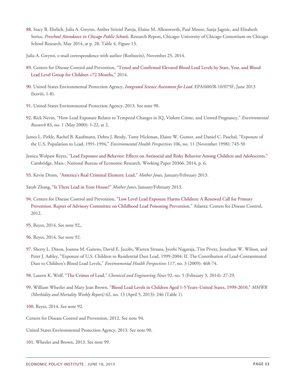- <span id="page-32-0"></span>[88.](#page-17-1) Stacy B. Ehrlich, Julia A. Gwynn, Amber Stitziel Pareja, Elaine M. Allensworth, Paul Moore, Sanja Jagesic, and Elizabeth Sorice, *[Preschool Attendance in Chicago Public Schools](http://www.attendanceworks.org/wordpress/wp-content/uploads/2014/06/CCSR-Pre-K-Attendance-Full-Report-May-2014-revised.pdf),* Research Report, Chicago: University of Chicago Consortium on Chicago School Research, May 2014, at p. 28, Table 4, Figure 13.
- Julia A. Gwynn, e-mail correspondence with author (Rothstein), November 25, 2014.
- <span id="page-32-1"></span>[89.](#page-18-0) Centers for Disease Control and Prevention, ["Tested and Confirmed Elevated Blood Lead Levels by State, Year, and Blood](http://www.cdc.gov/nceh/lead/data/Website_StateConfirmedByYear_1997_2013_10162014.htm) [Lead Level Group for Children <72 Months](http://www.cdc.gov/nceh/lead/data/Website_StateConfirmedByYear_1997_2013_10162014.htm)," 2014.
- <span id="page-32-2"></span>[90.](#page-18-1) United States Environmental Protection Agency, *[Integrated Science Assessment for Lead](http://cfpub.epa.gov/ncea/cfm/recordisplay.cfm?deid=255721)*. EPA/600/R-10/075F, June 2013 (lxxviii, 1-8).
- <span id="page-32-3"></span>[91.](#page-18-2) United States Environmental Protection Agency, 2013. See note 90.
- <span id="page-32-4"></span>[92.](#page-18-3) Rick Nevin, "How Lead Exposure Relates to Temporal Changes in IQ, Violent Crime, and Unwed Pregnancy," *Environmental Research* 83, no. 1 (May 2000): 1-22, at 2.
- James L. Pirkle, Rachel B. Kaufmann, Debra J. Brody, Tamy Hickman, Elaine W. Gunter, and Daniel C. Paschal, "Exposure of the U.S. Population to Lead, 1991-1994," *Environmental Health Perspectives* 106, no. 11 (November 1998): 745-50
- Jessica Wolpaw Reyes, ["Lead Exposure and Behavior: Effects on Antisocial and Risky Behavior Among Children and Adolescents.](http://www.nber.org/papers/w20366)" Cambridge, Mass.: National Bureau of Economic Research, Working Paper 20366, 2014, p. 6.
- <span id="page-32-5"></span>[93.](#page-18-4) Kevin Drum, "[America's Real Criminal Element: Lead](http://www.motherjones.com/environment/2013/01/lead-crime-link-gasoline)," *Mother Jones*, January/February 2013.
- Sarah Zhang, "[Is There Lead in Your House?"](http://www.motherjones.com/environment/2013/01/lead-poisoning-house-pipes-soil-paint) *Mother Jones*, January/February 2013.
- <span id="page-32-6"></span>[94.](#page-18-5) Centers for Disease Control and Prevention. ["Low Level Lead Exposure Harms Children: A Renewed Call for Primary](http://www.cdc.gov/nceh/lead/ACCLPP/Final_Document_030712.pdf) Prevention. [Report of Advisory Committee on Childhood Lead Poisoning Prevention.](http://www.cdc.gov/nceh/lead/ACCLPP/Final_Document_030712.pdf)" Atlanta: Centers for Disease Control, 2012.
- <span id="page-32-7"></span>[95.](#page-18-6) Reyes, 2014. See note 92,.
- <span id="page-32-8"></span>[96.](#page-18-7) Reyes, 2014. See note 92.
- <span id="page-32-9"></span>[97.](#page-18-8) Sherry L. Dixon, Joanna M. Gaitens, David E. Jacobs, Warren Strauss, Jyothi Nagaraja, Tim Pivetz, Jonathan W. Wilson, and Peter J. Ashley, "Exposure of U.S. Children to Residential Dust Lead, 1999-2004: II. The Contribution of Lead-Contaminated Dust to Children's Blood Lead Levels," *Environmental Health Perspectives* 117, no. 3 (2009): 468-74.
- <span id="page-32-10"></span>[98.](#page-18-9) Lauren K. Wolf, ["The Crimes of Lead](http://cen.acs.org/articles/92/i5/Crimes-Lead.html?h=203295020)," *Chemical and Engineering News* 92, no. 5 (February 3, 2014): 27-29.
- 99. William Wheeler and Mary Jean Brown, "[Blood Lead Levels in Children Aged 1-5 Years–United States, 1999-2010](http://www.cdc.gov/mmwr/pdf/wk/mm6213.pdf)," *MMWR (Morbidity and Mortality Weekly Report)* 62, no. 13 (April 5, 2013): 246 (Table 1).
- <span id="page-32-11"></span>[100.](#page-19-0) Reyes, 2014. See note 92.
- Centers for Disease Control and Prevention, 2012. See note 94.
- United States Environmental Protection Agency, 2013. See note 90.
- <span id="page-32-12"></span>[101.](#page-20-0) Wheeler and Brown, 2013. See note 99.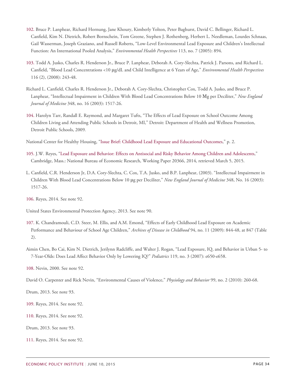- <span id="page-33-0"></span>[102.](#page-20-1) Bruce P. Lanphear, Richard Hornung, Jane Khoury, Kimberly Yolton, Peter Baghurst, David C. Bellinger, Richard L. Canfield, Kim N. Dietrich, Robert Bornschein, Tom Greene, Stephen J. Rothenberg, Herbert L. Needleman, Lourdes Schnaas, Gail Wasserman, Joseph Graziano, and Russell Roberts, "Low-Level Environmental Lead Exposure and Children's Intellectual Function: An International Pooled Analysis," *Environmental Health Perspectives* 113, no. 7 (2005): 894.
- <span id="page-33-1"></span>[103.](#page-20-2) Todd A. Jusko, Charles R. Henderson Jr., Bruce P. Lanphear, Deborah A. Cory-Slechta, Patrick J. Parsons, and Richard L. Canfield, "Blood Lead Concentrations <10 μg/dL and Child Intelligence at 6 Years of Age," *Environmental Health Perspectives* 116 (2), (2008): 243-48.
- Richard L. Canfield, Charles R. Henderson Jr., Deborah A. Cory-Slechta, Christopher Cox, Todd A. Jusko, and Bruce P. Lanphear, "Intellectual Impairment in Children With Blood Lead Concentrations Below 10 Μg per Deciliter," *New England Journal of Medicine* 348, no. 16 (2003): 1517-26.
- <span id="page-33-2"></span>[104.](#page-20-3) Harolyn Tarr, Randall E. Raymond, and Margaret Tufts, "The Effects of Lead Exposure on School Outcome Among Children Living and Attending Public Schools in Detroit, MI," Detroit: Department of Health and Wellness Promotion, Detroit Public Schools, 2009*.*
- National Center for Healthy Housing, "[Issue Brief: Childhood Lead Exposure and Educational Outcomes](http://www.nchh.org/Portals/0/Contents/Childhood_Lead_Exposure.pdf)," p. 2.
- <span id="page-33-3"></span>[105.](#page-20-4) J.W. Reyes, "[Lead Exposure and Behavior: Effects on Antisocial and Risky Behavior Among Children and Adolescents](http://www.nber.org/papers/w20366)," Cambridge, Mass.: National Bureau of Economic Research, Working Paper 20366, 2014, retrieved March 5, 2015.
- L. Canfield, C.R. Henderson Jr, D.A. Cory-Slechta, C. Cox, T.A. Jusko, and B.P. Lanphear, (2003). "Intellectual Impairment in Children With Blood Lead Concentrations Below 10 μg per Deciliter," *New England Journal of Medicine* 348, No. 16 (2003): 1517-26.
- <span id="page-33-4"></span>[106.](#page-20-5) Reyes, 2014. See note 92.

United States Environmental Protection Agency, 2013. See note 90.

- <span id="page-33-5"></span>[107.](#page-20-6) K. Chandramouli, C.D. Steer, M. Ellis, and A.M. Emond, "Effects of Early Childhood Lead Exposure on Academic Performance and Behaviour of School Age Children," *Archives of Disease in Childhood* 94, no. 11 (2009): 844-48, at 847 (Table 2).
- Aimin Chen, Bo Cai, Kim N. Dietrich, Jerilynn Radcliffe, and Walter J. Rogan, "Lead Exposure, IQ, and Behavior in Urban 5- to 7-Year-Olds: Does Lead Affect Behavior Only by Lowering IQ?" *Pediatrics* 119, no. 3 (2007): e650-e658.

<span id="page-33-6"></span>[108.](#page-20-7) Nevin, 2000. See note 92.

David O. Carpenter and Rick Nevin, "Environmental Causes of Violence," *Physiology and Behavior* 99, no. 2 (2010): 260-68.

Drum, 2013. See note 93.

- <span id="page-33-7"></span>[109.](#page-20-8) Reyes, 2014. See note 92.
- <span id="page-33-8"></span>[110.](#page-20-9) Reyes, 2014. See note 92.
- Drum, 2013. See note 93.
- <span id="page-33-9"></span>[111.](#page-21-0) Reyes, 2014. See note 92.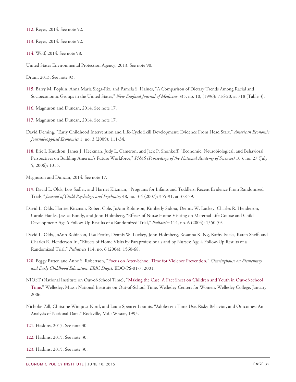- <span id="page-34-0"></span>[112.](#page-21-1) Reyes, 2014. See note 92.
- <span id="page-34-1"></span>[113.](#page-21-2) Reyes, 2014. See note 92.
- <span id="page-34-2"></span>[114.](#page-21-3) Wolf, 2014. See note 98.

United States Environmental Protection Agency, 2013. See note 90.

Drum, 2013. See note 93.

- <span id="page-34-3"></span>[115.](#page-21-4) Barry M. Popkin, Anna Maria Siega-Riz, and Pamela S. Haines, "A Comparison of Dietary Trends Among Racial and Socioeconomic Groups in the United States," *New England Journal of Medicine* 335, no. 10, (1996): 716-20, at 718 (Table 3).
- <span id="page-34-4"></span>[116.](#page-21-5) Magnuson and Duncan, 2014. See note 17.
- <span id="page-34-5"></span>[117.](#page-22-0) Magnuson and Duncan, 2014. See note 17.
- David Deming, "Early Childhood Intervention and Life-Cycle Skill Development: Evidence From Head Start," *American Economic Journal-Applied Economics* 1, no. 3 (2009): 111-34.
- <span id="page-34-6"></span>[118.](#page-22-1) Eric I. Knudson, James J. Heckman, Judy L. Cameron, and Jack P. Shonkoff, "Economic, Neurobiological, and Behavioral Perspectives on Building America's Future Workforce," *PNAS (Proceedings of the National Academy of Sciences)* 103, no. 27 (July 5, 2006): 1015.

Magnuson and Duncan, 2014. See note 17.

- <span id="page-34-7"></span>[119.](#page-22-2) David L. Olds, Lois Sadler, and Harriet Kitzman, "Programs for Infants and Toddlers: Recent Evidence From Randomized Trials,*" Journal of Child Psychology and Psychiatry* 48, no. 3-4 (2007): 355-91, at 378-79.
- David L. Olds, Harriet Kitzman, Robert Cole, JoAnn Robinson, Kimberly Sidora, Dennis W. Luckey, Charles R. Henderson, Carole Hanks, Jessica Bondy, and John Holmberg, "Effects of Nurse Home-Visiting on Maternal Life Course and Child Development: Age 6 Follow-Up Results of a Randomized Trial," *Pediatrics* 114, no. 6 (2004): 1550-59.
- David L. Olds, JoAnn Robinson, Lisa Pettitt, Dennis W. Luckey, John Holmberg, Rosanna K. Ng, Kathy Isacks, Karen Sheff, and Charles R. Henderson Jr., "Effects of Home Visits by Paraprofessionals and by Nurses: Age 4 Follow-Up Results of a Randomized Trial," *Pediatrics* 114, no. 6 (2004): 1560-68.
- <span id="page-34-8"></span>[120.](#page-22-3) Peggy Patten and Anne S. Robertson, "[Focus on After-School Time for Violence Prevention](http://www.ericdigests.org/2002-2/focus.htm)," *Clearinghouse on Elementary and Early Childhood Education, ERIC Digest,* EDO-PS-01-7, 2001.
- NIOST (National Institute on Out-of-School Time), "[Making the Case: A Fact Sheet on Children and Youth in Out-of-School](http://www.niost.org/pdf/factsheet2009.pdf) [Time,](http://www.niost.org/pdf/factsheet2009.pdf)" Wellesley, Mass.: National Institute on Out-of-School Time, Wellesley Centers for Women, Wellesley College, January 2006.
- Nicholas Zill, Christine Winquist Nord, and Laura Spencer Loomis, "Adolescent Time Use, Risky Behavior, and Outcomes: An Analysis of National Data," Rockville, Md.: Westat, 1995.
- <span id="page-34-9"></span>[121.](#page-22-4) Haskins, 2015. See note 30.
- <span id="page-34-10"></span>[122.](#page-22-5) Haskins, 2015. See note 30.
- <span id="page-34-11"></span>[123.](#page-23-0) Haskins, 2015. See note 30.